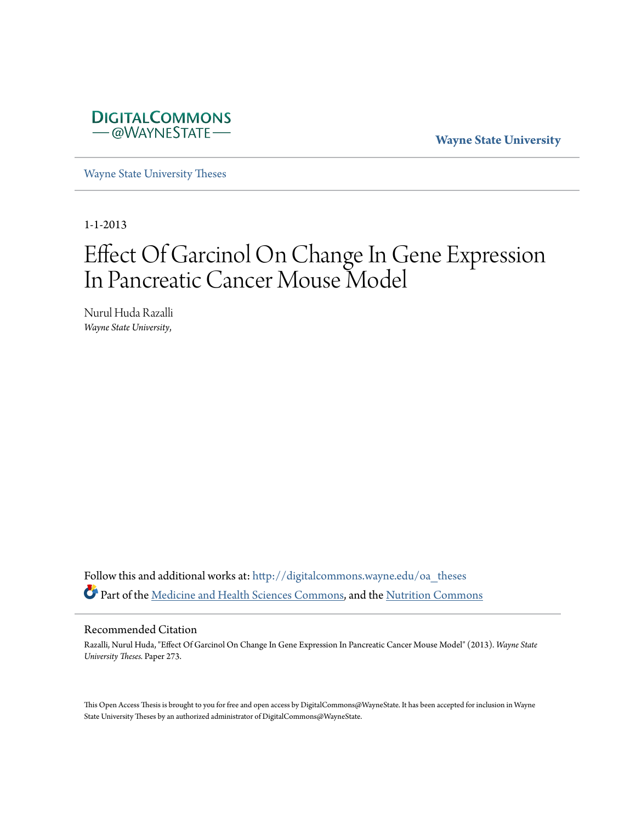

**Wayne State University**

[Wayne State University Theses](http://digitalcommons.wayne.edu/oa_theses?utm_source=digitalcommons.wayne.edu%2Foa_theses%2F273&utm_medium=PDF&utm_campaign=PDFCoverPages)

1-1-2013

# Effect Of Garcinol On Change In Gene Expression In Pancreatic Cancer Mouse Model

Nurul Huda Razalli *Wayne State University*,

Follow this and additional works at: [http://digitalcommons.wayne.edu/oa\\_theses](http://digitalcommons.wayne.edu/oa_theses?utm_source=digitalcommons.wayne.edu%2Foa_theses%2F273&utm_medium=PDF&utm_campaign=PDFCoverPages) Part of the [Medicine and Health Sciences Commons](http://network.bepress.com/hgg/discipline/648?utm_source=digitalcommons.wayne.edu%2Foa_theses%2F273&utm_medium=PDF&utm_campaign=PDFCoverPages), and the [Nutrition Commons](http://network.bepress.com/hgg/discipline/95?utm_source=digitalcommons.wayne.edu%2Foa_theses%2F273&utm_medium=PDF&utm_campaign=PDFCoverPages)

#### Recommended Citation

Razalli, Nurul Huda, "Effect Of Garcinol On Change In Gene Expression In Pancreatic Cancer Mouse Model" (2013). *Wayne State University Theses.* Paper 273.

This Open Access Thesis is brought to you for free and open access by DigitalCommons@WayneState. It has been accepted for inclusion in Wayne State University Theses by an authorized administrator of DigitalCommons@WayneState.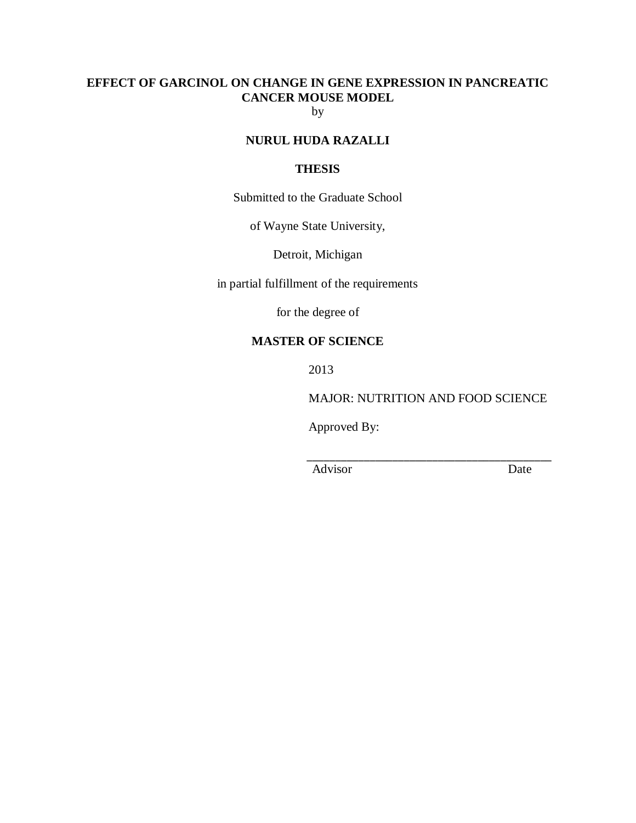# **EFFECT OF GARCINOL ON CHANGE IN GENE EXPRESSION IN PANCREATIC CANCER MOUSE MODEL**

by

# **NURUL HUDA RAZALLI**

## **THESIS**

Submitted to the Graduate School

of Wayne State University,

Detroit, Michigan

in partial fulfillment of the requirements

for the degree of

# **MASTER OF SCIENCE**

2013

MAJOR: NUTRITION AND FOOD SCIENCE

Approved By:

Advisor Date

 $\overline{\phantom{a}}$  , and the contract of the contract of the contract of the contract of the contract of the contract of the contract of the contract of the contract of the contract of the contract of the contract of the contrac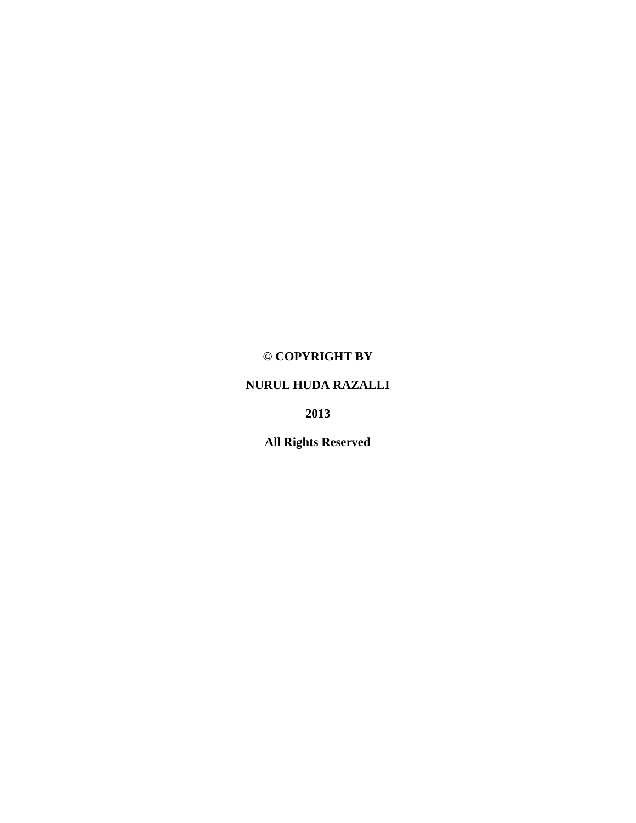# **© COPYRIGHT BY**

# **NURUL HUDA RAZALLI**

**2013**

**All Rights Reserved**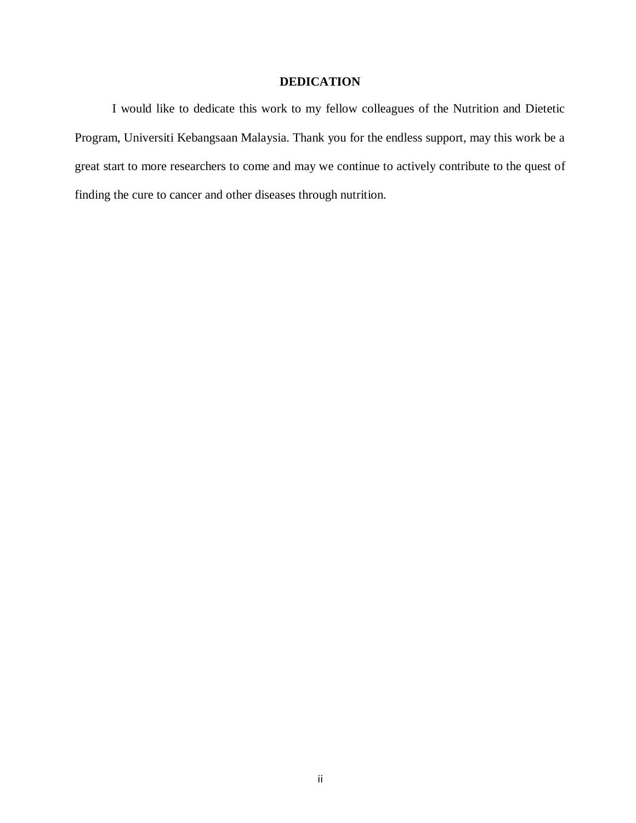## **DEDICATION**

I would like to dedicate this work to my fellow colleagues of the Nutrition and Dietetic Program, Universiti Kebangsaan Malaysia. Thank you for the endless support, may this work be a great start to more researchers to come and may we continue to actively contribute to the quest of finding the cure to cancer and other diseases through nutrition.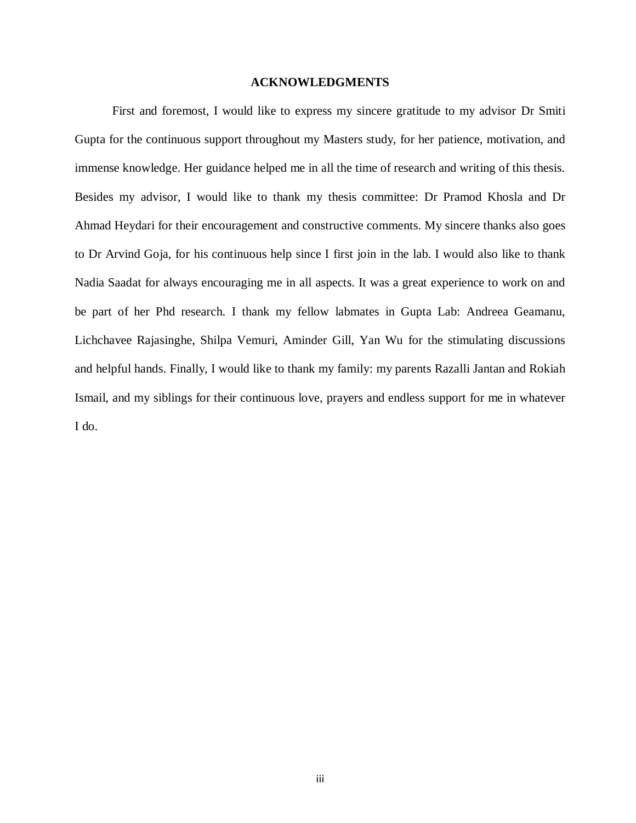#### **ACKNOWLEDGMENTS**

First and foremost, I would like to express my sincere gratitude to my advisor Dr Smiti Gupta for the continuous support throughout my Masters study, for her patience, motivation, and immense knowledge. Her guidance helped me in all the time of research and writing of this thesis. Besides my advisor, I would like to thank my thesis committee: Dr Pramod Khosla and Dr Ahmad Heydari for their encouragement and constructive comments. My sincere thanks also goes to Dr Arvind Goja, for his continuous help since I first join in the lab. I would also like to thank Nadia Saadat for always encouraging me in all aspects. It was a great experience to work on and be part of her Phd research. I thank my fellow labmates in Gupta Lab: Andreea Geamanu, Lichchavee Rajasinghe, Shilpa Vemuri, Aminder Gill, Yan Wu for the stimulating discussions and helpful hands. Finally, I would like to thank my family: my parents Razalli Jantan and Rokiah Ismail, and my siblings for their continuous love, prayers and endless support for me in whatever I do.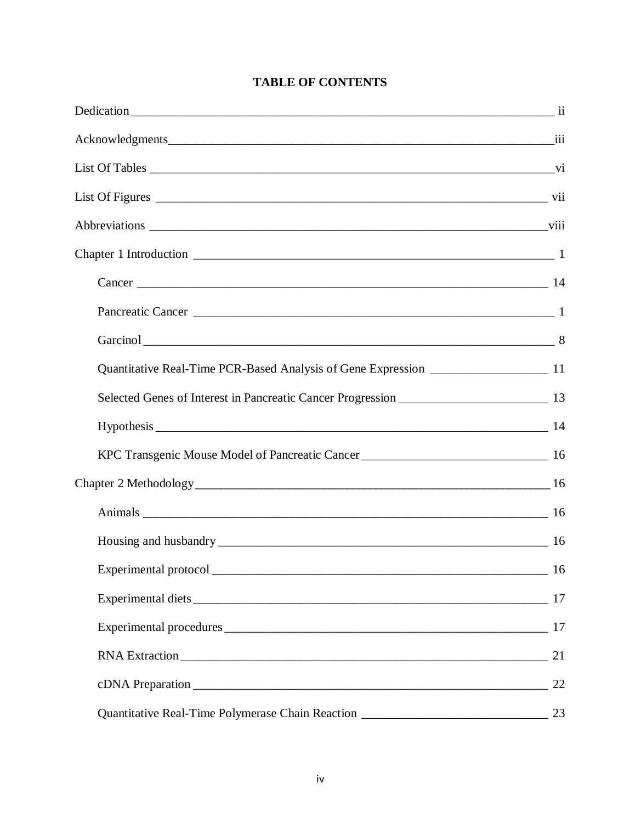| <b>TABLE OF CONTENTS</b> |  |  |
|--------------------------|--|--|
|--------------------------|--|--|

| Quantitative Real-Time PCR-Based Analysis of Gene Expression ____________________ 11                                                                                                                                          |    |
|-------------------------------------------------------------------------------------------------------------------------------------------------------------------------------------------------------------------------------|----|
|                                                                                                                                                                                                                               |    |
|                                                                                                                                                                                                                               |    |
| KPC Transgenic Mouse Model of Pancreatic Cancer _________________________________ 16                                                                                                                                          |    |
|                                                                                                                                                                                                                               |    |
|                                                                                                                                                                                                                               |    |
|                                                                                                                                                                                                                               |    |
|                                                                                                                                                                                                                               |    |
|                                                                                                                                                                                                                               |    |
| Experimental procedures 200 million and the state of the state of the state of the state of the state of the state of the state of the state of the state of the state of the state of the state of the state of the state of |    |
| RNA Extraction 21                                                                                                                                                                                                             |    |
|                                                                                                                                                                                                                               | 22 |
|                                                                                                                                                                                                                               |    |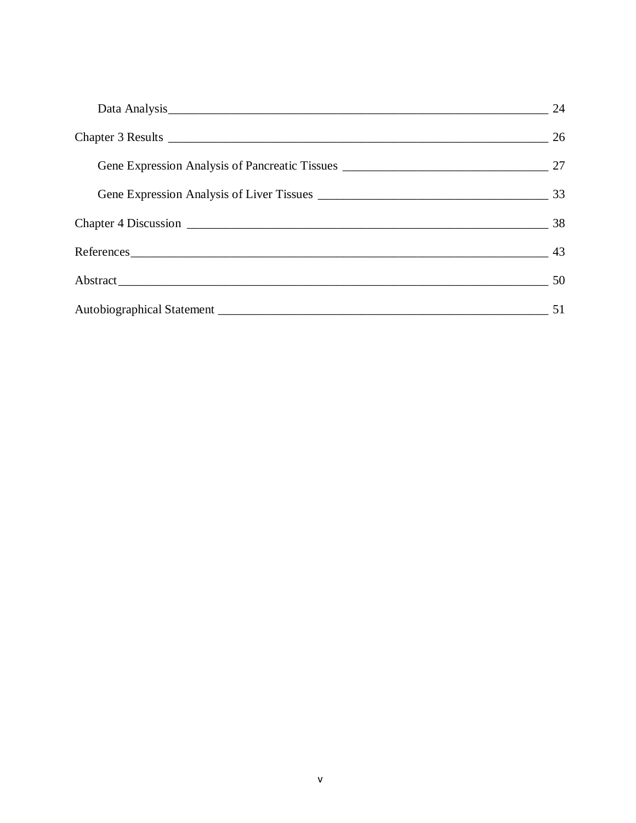|               | 24        |
|---------------|-----------|
|               | 26        |
|               |           |
|               | 33        |
|               |           |
| References 43 |           |
|               | $\sim$ 50 |
|               | 51        |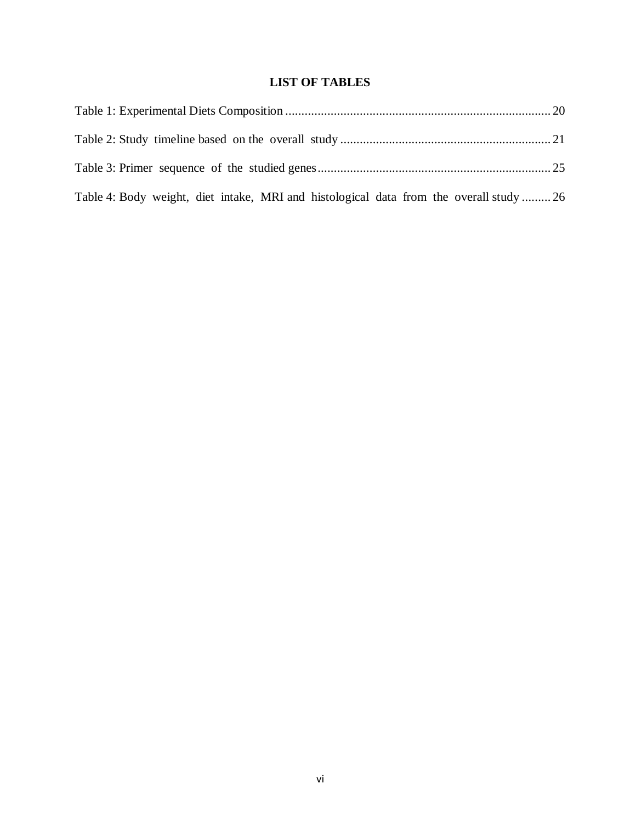# **LIST OF TABLES**

| Table 4: Body weight, diet intake, MRI and histological data from the overall study  26 |  |
|-----------------------------------------------------------------------------------------|--|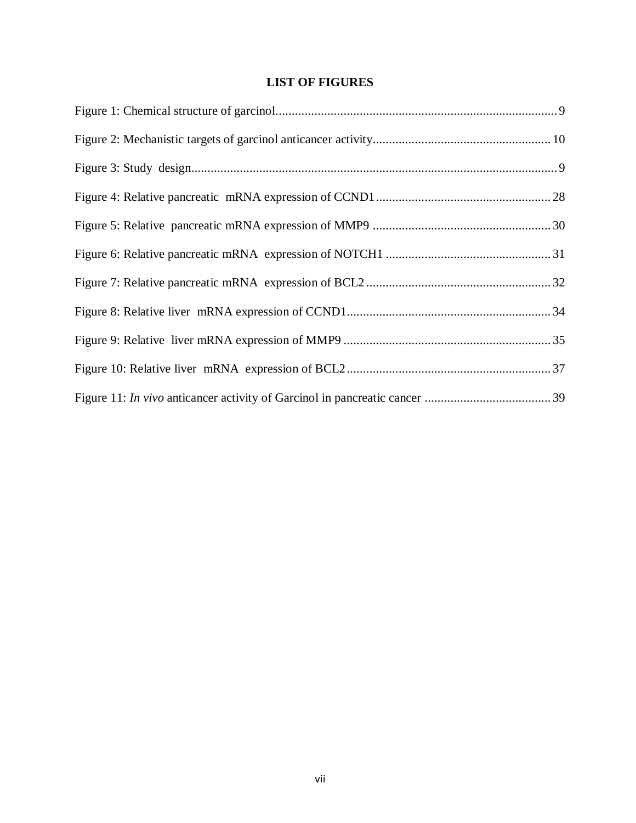# **LIST OF FIGURES**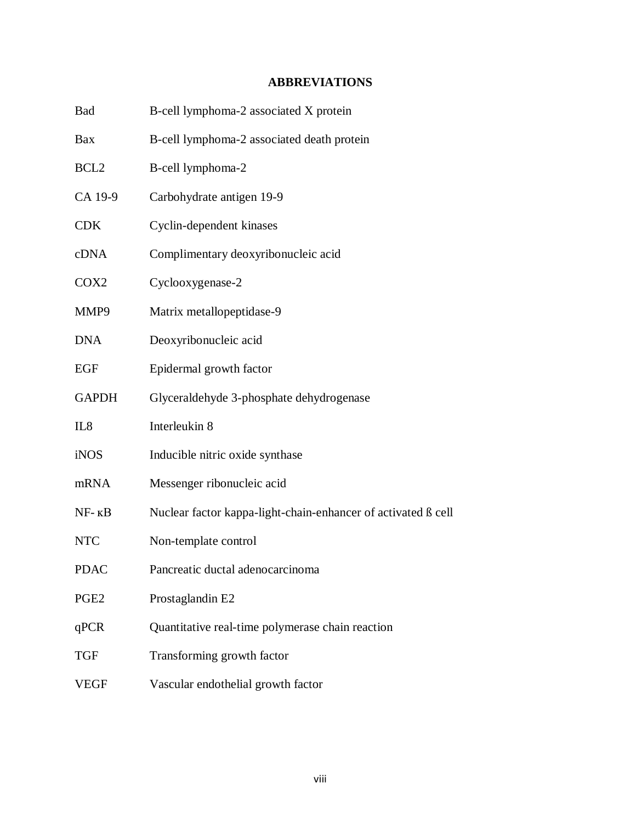# **ABBREVIATIONS**

| Bad              | B-cell lymphoma-2 associated X protein                        |
|------------------|---------------------------------------------------------------|
| Bax              | B-cell lymphoma-2 associated death protein                    |
| BCL <sub>2</sub> | B-cell lymphoma-2                                             |
| CA 19-9          | Carbohydrate antigen 19-9                                     |
| <b>CDK</b>       | Cyclin-dependent kinases                                      |
| cDNA             | Complimentary deoxyribonucleic acid                           |
| COX2             | Cyclooxygenase-2                                              |
| MMP9             | Matrix metallopeptidase-9                                     |
| DNA              | Deoxyribonucleic acid                                         |
| EGF              | Epidermal growth factor                                       |
| <b>GAPDH</b>     | Glyceraldehyde 3-phosphate dehydrogenase                      |
| IL8              | Interleukin 8                                                 |
| iNOS             | Inducible nitric oxide synthase                               |
| mRNA             | Messenger ribonucleic acid                                    |
| $NF - KB$        | Nuclear factor kappa-light-chain-enhancer of activated ß cell |
| <b>NTC</b>       | Non-template control                                          |
| <b>PDAC</b>      | Pancreatic ductal adenocarcinoma                              |
| PGE2             | Prostaglandin E2                                              |
| qPCR             | Quantitative real-time polymerase chain reaction              |
| TGF              | Transforming growth factor                                    |
| <b>VEGF</b>      | Vascular endothelial growth factor                            |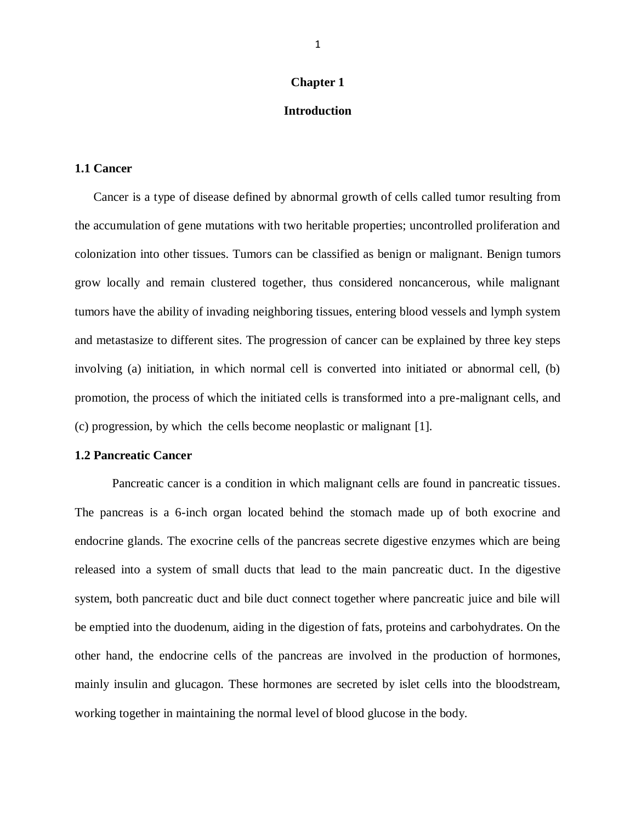#### **Chapter 1**

## **Introduction**

## **1.1 Cancer**

Cancer is a type of disease defined by abnormal growth of cells called tumor resulting from the accumulation of gene mutations with two heritable properties; uncontrolled proliferation and colonization into other tissues. Tumors can be classified as benign or malignant. Benign tumors grow locally and remain clustered together, thus considered noncancerous, while malignant tumors have the ability of invading neighboring tissues, entering blood vessels and lymph system and metastasize to different sites. The progression of cancer can be explained by three key steps involving (a) initiation, in which normal cell is converted into initiated or abnormal cell, (b) promotion, the process of which the initiated cells is transformed into a pre-malignant cells, and (c) progression, by which the cells become neoplastic or malignant [\[1\]](#page-52-0).

#### **1.2 Pancreatic Cancer**

Pancreatic cancer is a condition in which malignant cells are found in pancreatic tissues. The pancreas is a 6-inch organ located behind the stomach made up of both exocrine and endocrine glands. The exocrine cells of the pancreas secrete digestive enzymes which are being released into a system of small ducts that lead to the main pancreatic duct. In the digestive system, both pancreatic duct and bile duct connect together where pancreatic juice and bile will be emptied into the duodenum, aiding in the digestion of fats, proteins and carbohydrates. On the other hand, the endocrine cells of the pancreas are involved in the production of hormones, mainly insulin and glucagon. These hormones are secreted by islet cells into the bloodstream, working together in maintaining the normal level of blood glucose in the body.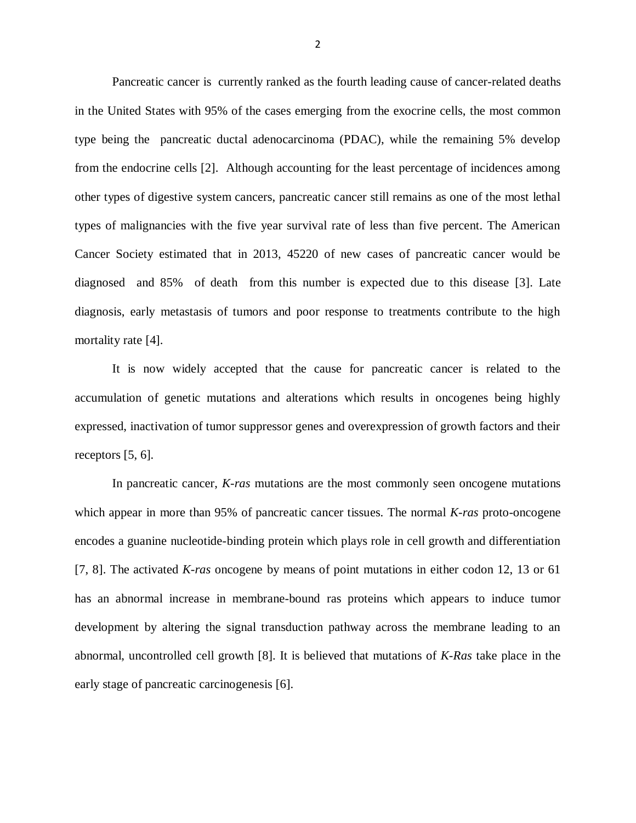Pancreatic cancer is currently ranked as the fourth leading cause of cancer-related deaths in the United States with 95% of the cases emerging from the exocrine cells, the most common type being the pancreatic ductal adenocarcinoma (PDAC), while the remaining 5% develop from the endocrine cells [\[2\]](#page-52-1). Although accounting for the least percentage of incidences among other types of digestive system cancers, pancreatic cancer still remains as one of the most lethal types of malignancies with the five year survival rate of less than five percent. The American Cancer Society estimated that in 2013, 45220 of new cases of pancreatic cancer would be diagnosed and 85% of death from this number is expected due to this disease [\[3\]](#page-52-2). Late diagnosis, early metastasis of tumors and poor response to treatments contribute to the high mortality rate [\[4\]](#page-52-3).

It is now widely accepted that the cause for pancreatic cancer is related to the accumulation of genetic mutations and alterations which results in oncogenes being highly expressed, inactivation of tumor suppressor genes and overexpression of growth factors and their receptors [\[5,](#page-52-4) [6\]](#page-52-5).

In pancreatic cancer, *K-ras* mutations are the most commonly seen oncogene mutations which appear in more than 95% of pancreatic cancer tissues. The normal *K-ras* proto-oncogene encodes a guanine nucleotide-binding protein which plays role in cell growth and differentiation [\[7,](#page-52-6) [8\]](#page-52-7). The activated *K-ras* oncogene by means of point mutations in either codon 12, 13 or 61 has an abnormal increase in membrane-bound ras proteins which appears to induce tumor development by altering the signal transduction pathway across the membrane leading to an abnormal, uncontrolled cell growth [\[8\]](#page-52-7). It is believed that mutations of *K-Ras* take place in the early stage of pancreatic carcinogenesis [\[6\]](#page-52-5).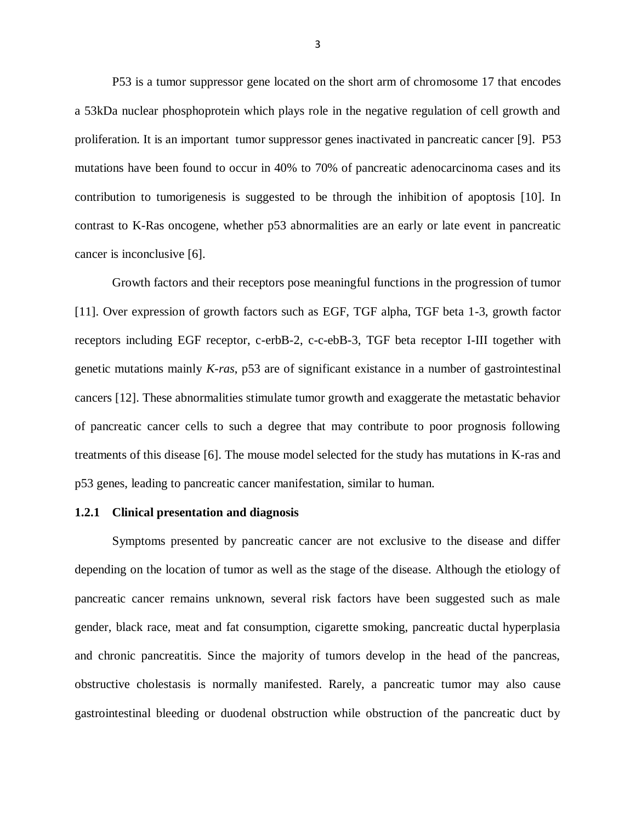P53 is a tumor suppressor gene located on the short arm of chromosome 17 that encodes a 53kDa nuclear phosphoprotein which plays role in the negative regulation of cell growth and proliferation. It is an important tumor suppressor genes inactivated in pancreatic cancer [\[9\]](#page-52-8). P53 mutations have been found to occur in 40% to 70% of pancreatic adenocarcinoma cases and its contribution to tumorigenesis is suggested to be through the inhibition of apoptosis [\[10\]](#page-52-9). In contrast to K-Ras oncogene, whether p53 abnormalities are an early or late event in pancreatic cancer is inconclusive [\[6\]](#page-52-5).

Growth factors and their receptors pose meaningful functions in the progression of tumor [\[11\]](#page-53-0). Over expression of growth factors such as EGF, TGF alpha, TGF beta 1-3, growth factor receptors including EGF receptor, c-erbB-2, c-c-ebB-3, TGF beta receptor I-III together with genetic mutations mainly *K-ras*, p53 are of significant existance in a number of gastrointestinal cancers [\[12\]](#page-53-1). These abnormalities stimulate tumor growth and exaggerate the metastatic behavior of pancreatic cancer cells to such a degree that may contribute to poor prognosis following treatments of this disease [\[6\]](#page-52-5). The mouse model selected for the study has mutations in K-ras and p53 genes, leading to pancreatic cancer manifestation, similar to human.

#### **1.2.1 Clinical presentation and diagnosis**

Symptoms presented by pancreatic cancer are not exclusive to the disease and differ depending on the location of tumor as well as the stage of the disease. Although the etiology of pancreatic cancer remains unknown, several risk factors have been suggested such as male gender, black race, meat and fat consumption, cigarette smoking, pancreatic ductal hyperplasia and chronic pancreatitis. Since the majority of tumors develop in the head of the pancreas, obstructive cholestasis is normally manifested. Rarely, a pancreatic tumor may also cause gastrointestinal bleeding or duodenal obstruction while obstruction of the pancreatic duct by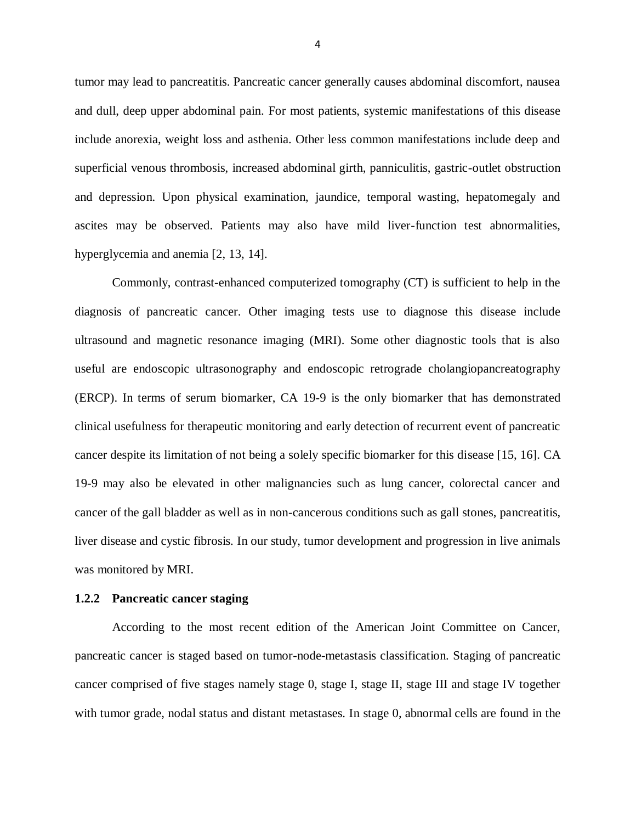tumor may lead to pancreatitis. Pancreatic cancer generally causes abdominal discomfort, nausea and dull, deep upper abdominal pain. For most patients, systemic manifestations of this disease include anorexia, weight loss and asthenia. Other less common manifestations include deep and superficial venous thrombosis, increased abdominal girth, panniculitis, gastric-outlet obstruction and depression. Upon physical examination, jaundice, temporal wasting, hepatomegaly and ascites may be observed. Patients may also have mild liver-function test abnormalities, hyperglycemia and anemia [\[2,](#page-52-1) [13,](#page-53-2) [14\]](#page-53-3).

Commonly, contrast-enhanced computerized tomography (CT) is sufficient to help in the diagnosis of pancreatic cancer. Other imaging tests use to diagnose this disease include ultrasound and magnetic resonance imaging (MRI). Some other diagnostic tools that is also useful are endoscopic ultrasonography and endoscopic retrograde cholangiopancreatography (ERCP). In terms of serum biomarker, CA 19-9 is the only biomarker that has demonstrated clinical usefulness for therapeutic monitoring and early detection of recurrent event of pancreatic cancer despite its limitation of not being a solely specific biomarker for this disease [\[15,](#page-53-4) [16\]](#page-53-5). CA 19-9 may also be elevated in other malignancies such as lung cancer, colorectal cancer and cancer of the gall bladder as well as in non-cancerous conditions such as gall stones, pancreatitis, liver disease and cystic fibrosis. In our study, tumor development and progression in live animals was monitored by MRI.

#### **1.2.2 Pancreatic cancer staging**

According to the most recent edition of the American Joint Committee on Cancer, pancreatic cancer is staged based on tumor-node-metastasis classification. Staging of pancreatic cancer comprised of five stages namely stage 0, stage I, stage II, stage III and stage IV together with tumor grade, nodal status and distant metastases. In stage 0, abnormal [cells](http://www.cancer.gov/Common/PopUps/popDefinition.aspx?id=46476&version=Patient&language=English) are found in the

4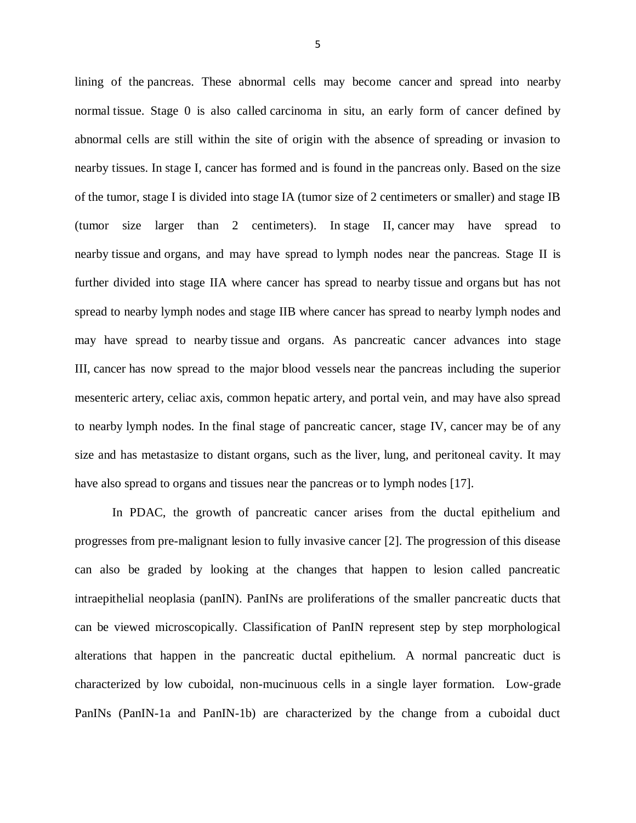lining of the [pancreas.](http://www.cancer.gov/Common/PopUps/popDefinition.aspx?id=46254&version=Patient&language=English) These abnormal cells may become [cancer](http://www.cancer.gov/Common/PopUps/popDefinition.aspx?id=45333&version=Patient&language=English) and spread into nearby normal [tissue.](http://www.cancer.gov/Common/PopUps/popDefinition.aspx?id=46683&version=Patient&language=English) Stage 0 is also called carcinoma in situ, an early form of cancer defined by abnormal cells are still within the site of origin with the absence of spreading or invasion to nearby tissues. In [stage I,](http://www.cancer.gov/Common/PopUps/popDefinition.aspx?id=45482&version=Patient&language=English) [cancer](http://www.cancer.gov/Common/PopUps/popDefinition.aspx?id=45333&version=Patient&language=English) has formed and is found in the pancreas only. Based on the size of the tumor, stage I is divided into stage IA (tumor size of 2 centimeters or smaller) and stage IB (tumor size larger than 2 centimeters). In stage II, [cancer](http://www.cancer.gov/Common/PopUps/popDefinition.aspx?id=45333&version=Patient&language=English) may have spread to nearby [tissue](http://www.cancer.gov/Common/PopUps/popDefinition.aspx?id=46683&version=Patient&language=English) and [organs,](http://www.cancer.gov/Common/PopUps/popDefinition.aspx?id=257523&version=Patient&language=English) and may have spread to [lymph nodes](http://www.cancer.gov/Common/PopUps/popDefinition.aspx?id=45762&version=Patient&language=English) near the [pancreas.](http://www.cancer.gov/Common/PopUps/popDefinition.aspx?id=46254&version=Patient&language=English) Stage II is further divided into stage IIA where cancer has spread to nearby [tissue](http://www.cancer.gov/Common/PopUps/popDefinition.aspx?id=46683&version=Patient&language=English) and [organs](http://www.cancer.gov/Common/PopUps/popDefinition.aspx?id=257523&version=Patient&language=English) but has not spread to nearby lymph nodes and stage IIB where cancer has spread to nearby [lymph nodes](http://www.cancer.gov/Common/PopUps/popDefinition.aspx?id=45762&version=Patient&language=English) and may have spread to nearby [tissue](http://www.cancer.gov/Common/PopUps/popDefinition.aspx?id=46683&version=Patient&language=English) and organs. As pancreatic cancer advances into stage III, cancer has now spread to the major blood vessels near the pancreas including the superior mesenteric artery, celiac axis, common hepatic artery, and portal vein, and may have also spread to nearby lymph nodes. In the final stage of pancreatic cancer, stage IV, cancer may be of any size and has metastasize to distant organs, such as the liver, lung, and peritoneal cavity. It may have also spread to organs and tissues near the pancreas or to lymph nodes [\[17\]](#page-53-6).

In PDAC, the growth of pancreatic cancer arises from the ductal epithelium and progresses from pre-malignant lesion to fully invasive cancer [\[2\]](#page-52-1). The progression of this disease can also be graded by looking at the changes that happen to lesion called pancreatic intraepithelial neoplasia (panIN). PanINs are proliferations of the smaller pancreatic ducts that can be viewed microscopically. Classification of PanIN represent step by step morphological alterations that happen in the pancreatic ductal epithelium. A normal pancreatic duct is characterized by low cuboidal, non-mucinuous cells in a single layer formation. Low-grade PanINs (PanIN-1a and PanIN-1b) are characterized by the change from a cuboidal duct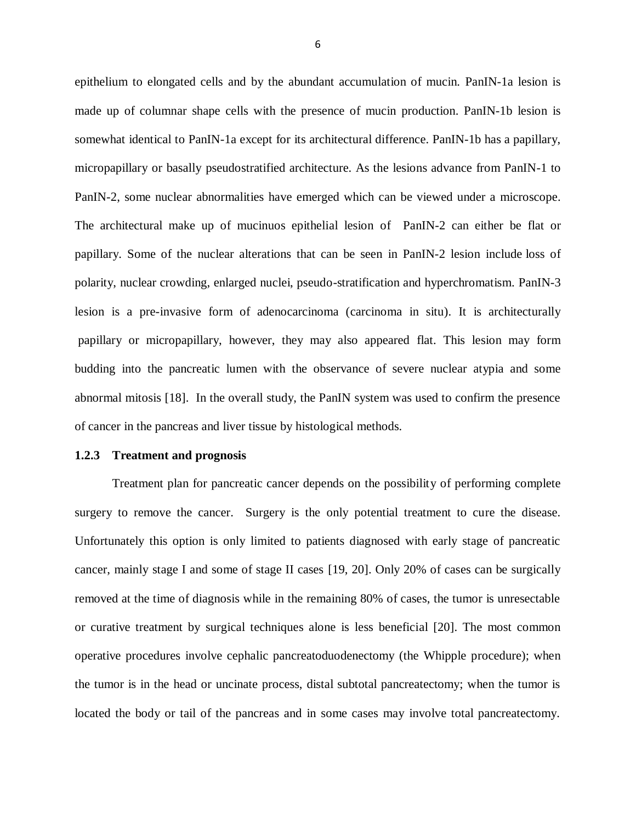epithelium to elongated cells and by the abundant accumulation of mucin. PanIN-1a lesion is made up of columnar shape cells with the presence of mucin production. PanIN-1b lesion is somewhat identical to PanIN-1a except for its architectural difference. PanIN-1b has a papillary, micropapillary or basally pseudostratified architecture. As the lesions advance from PanIN-1 to PanIN-2, some nuclear abnormalities have emerged which can be viewed under a microscope. The architectural make up of mucinuos epithelial lesion of PanIN-2 can either be flat or papillary. Some of the nuclear alterations that can be seen in PanIN-2 lesion include loss of polarity, nuclear crowding, enlarged nuclei, pseudo-stratification and hyperchromatism. PanIN-3 lesion is a pre-invasive form of adenocarcinoma (carcinoma in situ). It is architecturally papillary or micropapillary, however, they may also appeared flat. This lesion may form budding into the pancreatic lumen with the observance of severe nuclear atypia and some abnormal mitosis [\[18\]](#page-53-7). In the overall study, the PanIN system was used to confirm the presence of cancer in the pancreas and liver tissue by histological methods.

#### **1.2.3 Treatment and prognosis**

Treatment plan for pancreatic cancer depends on the possibility of performing complete surgery to remove the cancer. Surgery is the only potential treatment to cure the disease. Unfortunately this option is only limited to patients diagnosed with early stage of pancreatic cancer, mainly stage I and some of stage II cases [\[19,](#page-53-8) [20\]](#page-53-9). Only 20% of cases can be surgically removed at the time of diagnosis while in the remaining 80% of cases, the tumor is unresectable or curative treatment by surgical techniques alone is less beneficial [\[20\]](#page-53-9). The most common operative procedures involve cephalic pancreatoduodenectomy (the Whipple procedure); when the tumor is in the head or uncinate process, distal subtotal pancreatectomy; when the tumor is located the body or tail of the pancreas and in some cases may involve total pancreatectomy.

6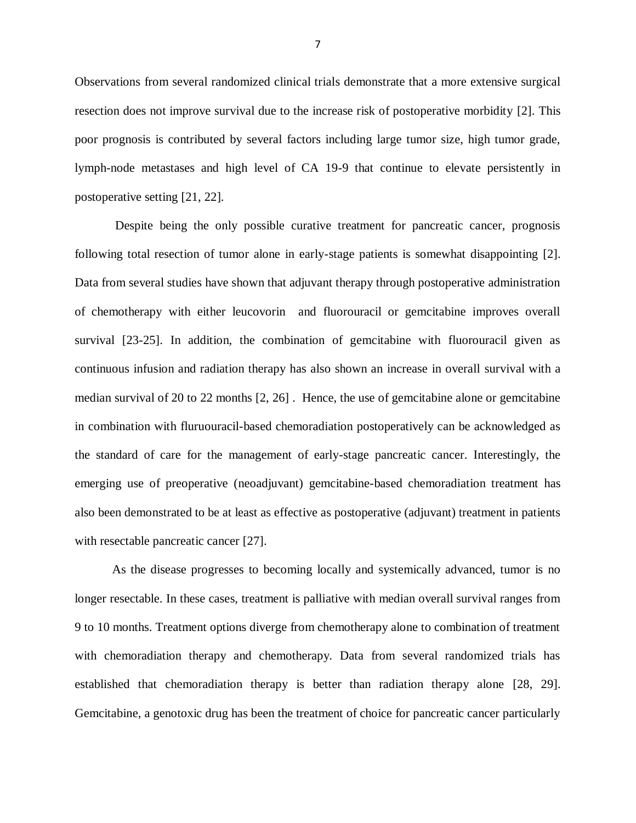Observations from several randomized clinical trials demonstrate that a more extensive surgical resection does not improve survival due to the increase risk of postoperative morbidity [\[2\]](#page-52-1). This poor prognosis is contributed by several factors including large tumor size, high tumor grade, lymph-node metastases and high level of CA 19-9 that continue to elevate persistently in postoperative setting [\[21,](#page-54-0) [22\]](#page-54-1).

Despite being the only possible curative treatment for pancreatic cancer, prognosis following total resection of tumor alone in early-stage patients is somewhat disappointing [\[2\]](#page-52-1). Data from several studies have shown that adjuvant therapy through postoperative administration of chemotherapy with either leucovorin and fluorouracil or gemcitabine improves overall survival [\[23-25\]](#page-54-2). In addition, the combination of gemcitabine with fluorouracil given as continuous infusion and radiation therapy has also shown an increase in overall survival with a median survival of 20 to 22 months [\[2,](#page-52-1) [26\]](#page-54-3) . Hence, the use of gemcitabine alone or gemcitabine in combination with fluruouracil-based chemoradiation postoperatively can be acknowledged as the standard of care for the management of early-stage pancreatic cancer. Interestingly, the emerging use of preoperative (neoadjuvant) gemcitabine-based chemoradiation treatment has also been demonstrated to be at least as effective as postoperative (adjuvant) treatment in patients with resectable pancreatic cancer [\[27\]](#page-55-0).

As the disease progresses to becoming locally and systemically advanced, tumor is no longer resectable. In these cases, treatment is palliative with median overall survival ranges from 9 to 10 months. Treatment options diverge from chemotherapy alone to combination of treatment with chemoradiation therapy and chemotherapy. Data from several randomized trials has established that chemoradiation therapy is better than radiation therapy alone [\[28,](#page-55-1) [29\]](#page-55-2). Gemcitabine, a genotoxic drug has been the treatment of choice for pancreatic cancer particularly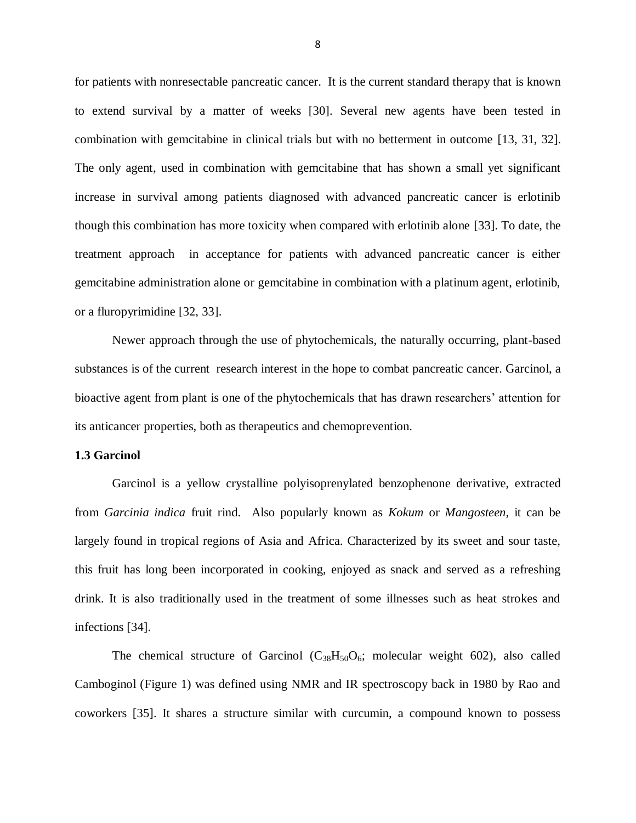for patients with nonresectable pancreatic cancer. It is the current standard therapy that is known to extend survival by a matter of weeks [\[30\]](#page-55-3). Several new agents have been tested in combination with gemcitabine in clinical trials but with no betterment in outcome [\[13,](#page-53-2) [31,](#page-55-4) [32\]](#page-55-5). The only agent, used in combination with gemcitabine that has shown a small yet significant increase in survival among patients diagnosed with advanced pancreatic cancer is erlotinib though this combination has more toxicity when compared with erlotinib alone [\[33\]](#page-56-0). To date, the treatment approach in acceptance for patients with advanced pancreatic cancer is either gemcitabine administration alone or gemcitabine in combination with a platinum agent, erlotinib, or a fluropyrimidine [\[32,](#page-55-5) [33\]](#page-56-0).

Newer approach through the use of phytochemicals, the naturally occurring, plant-based substances is of the current research interest in the hope to combat pancreatic cancer. Garcinol, a bioactive agent from plant is one of the phytochemicals that has drawn researchers' attention for its anticancer properties, both as therapeutics and chemoprevention.

#### **1.3 Garcinol**

Garcinol is a yellow crystalline polyisoprenylated benzophenone derivative, extracted from *Garcinia indica* fruit rind. Also popularly known as *Kokum* or *Mangosteen*, it can be largely found in tropical regions of Asia and Africa. Characterized by its sweet and sour taste, this fruit has long been incorporated in cooking, enjoyed as snack and served as a refreshing drink. It is also traditionally used in the treatment of some illnesses such as heat strokes and infections [\[34\]](#page-56-1).

The chemical structure of Garcinol  $(C_{38}H_{50}O_6;$  molecular weight 602), also called Camboginol (Figure 1) was defined using NMR and IR spectroscopy back in 1980 by Rao and coworkers [\[35\]](#page-56-2). It shares a structure similar with curcumin, a compound known to possess

8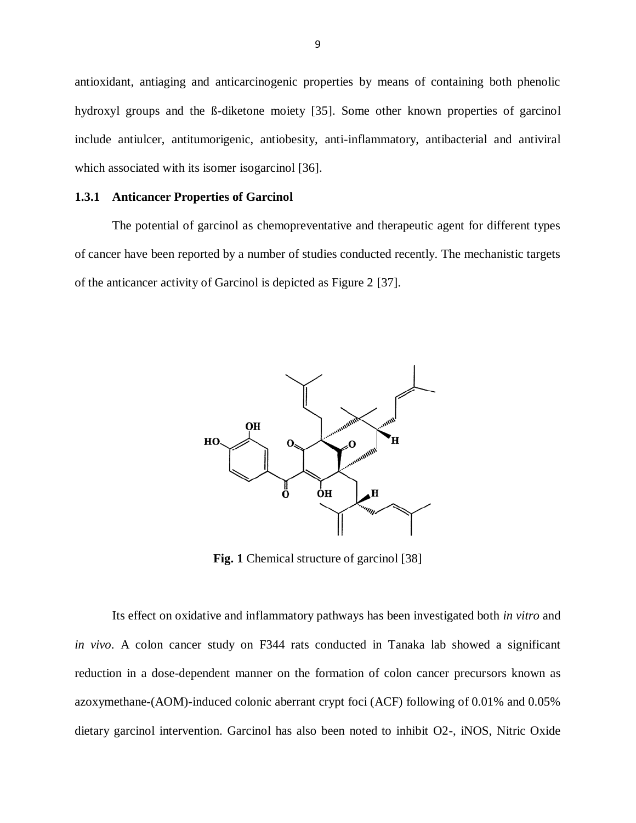antioxidant, antiaging and anticarcinogenic properties by means of containing both phenolic hydroxyl groups and the ß-diketone moiety [\[35\]](#page-56-2). Some other known properties of garcinol include antiulcer, antitumorigenic, antiobesity, anti-inflammatory, antibacterial and antiviral which associated with its isomer isogarcinol [\[36\]](#page-56-3).

#### **1.3.1 Anticancer Properties of Garcinol**

The potential of garcinol as chemopreventative and therapeutic agent for different types of cancer have been reported by a number of studies conducted recently. The mechanistic targets of the anticancer activity of Garcinol is depicted as Figure 2 [\[37\]](#page-56-4).



**Fig. 1** Chemical structure of garcinol [\[38\]](#page-56-5)

Its effect on oxidative and inflammatory pathways has been investigated both *in vitro* and *in vivo*. A colon cancer study on F344 rats conducted in Tanaka lab showed a significant reduction in a dose-dependent manner on the formation of colon cancer precursors known as azoxymethane-(AOM)-induced colonic aberrant crypt foci (ACF) following of 0.01% and 0.05% dietary garcinol intervention. Garcinol has also been noted to inhibit O2-, iNOS, Nitric Oxide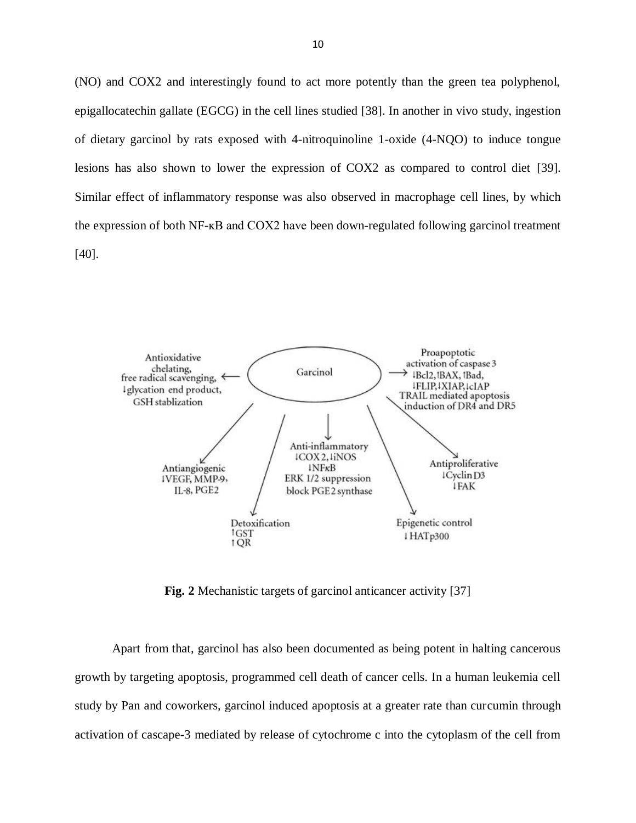(NO) and COX2 and interestingly found to act more potently than the green tea polyphenol, epigallocatechin gallate (EGCG) in the cell lines studied [\[38\]](#page-56-5). In another in vivo study, ingestion of dietary garcinol by rats exposed with 4-nitroquinoline 1-oxide (4-NQO) to induce tongue lesions has also shown to lower the expression of COX2 as compared to control diet [\[39\]](#page-56-6). Similar effect of inflammatory response was also observed in macrophage cell lines, by which the expression of both NF-ĸB and COX2 have been down-regulated following garcinol treatment [\[40\]](#page-57-0).



**Fig. 2** Mechanistic targets of garcinol anticancer activity [\[37\]](#page-56-4)

Apart from that, garcinol has also been documented as being potent in halting cancerous growth by targeting apoptosis, programmed cell death of cancer cells. In a human leukemia cell study by Pan and coworkers, garcinol induced apoptosis at a greater rate than curcumin through activation of cascape-3 mediated by release of cytochrome c into the cytoplasm of the cell from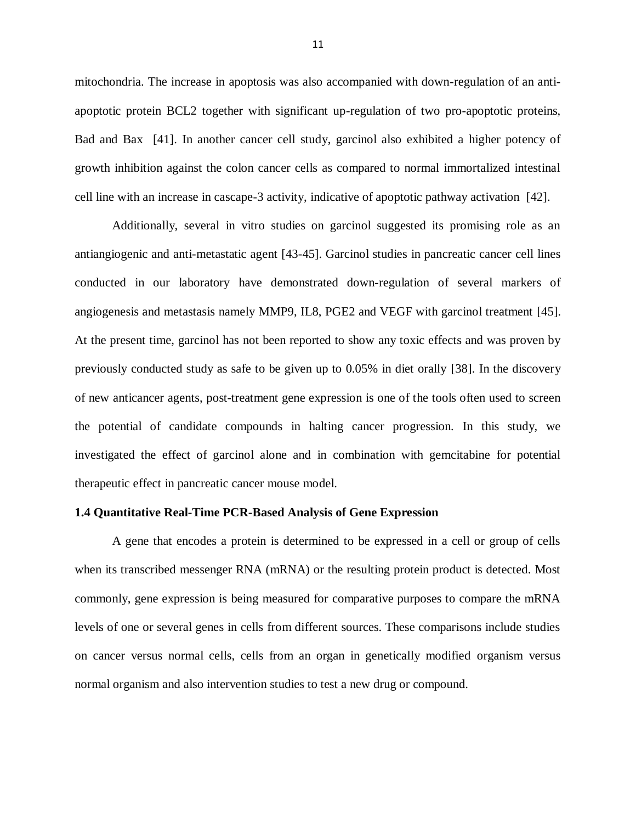mitochondria. The increase in apoptosis was also accompanied with down-regulation of an antiapoptotic protein BCL2 together with significant up-regulation of two pro-apoptotic proteins, Bad and Bax [\[41\]](#page-57-1). In another cancer cell study, garcinol also exhibited a higher potency of growth inhibition against the colon cancer cells as compared to normal immortalized intestinal cell line with an increase in cascape-3 activity, indicative of apoptotic pathway activation [\[42\]](#page-57-2).

Additionally, several in vitro studies on garcinol suggested its promising role as an antiangiogenic and anti-metastatic agent [\[43-45\]](#page-57-3). Garcinol studies in pancreatic cancer cell lines conducted in our laboratory have demonstrated down-regulation of several markers of angiogenesis and metastasis namely MMP9, IL8, PGE2 and VEGF with garcinol treatment [\[45\]](#page-57-4). At the present time, garcinol has not been reported to show any toxic effects and was proven by previously conducted study as safe to be given up to 0.05% in diet orally [\[38\]](#page-56-5). In the discovery of new anticancer agents, post-treatment gene expression is one of the tools often used to screen the potential of candidate compounds in halting cancer progression. In this study, we investigated the effect of garcinol alone and in combination with gemcitabine for potential therapeutic effect in pancreatic cancer mouse model.

#### **1.4 Quantitative Real-Time PCR-Based Analysis of Gene Expression**

A gene that encodes a protein is determined to be expressed in a cell or group of cells when its transcribed messenger RNA (mRNA) or the resulting protein product is detected. Most commonly, gene expression is being measured for comparative purposes to compare the mRNA levels of one or several genes in cells from different sources. These comparisons include studies on cancer versus normal cells, cells from an organ in genetically modified organism versus normal organism and also intervention studies to test a new drug or compound.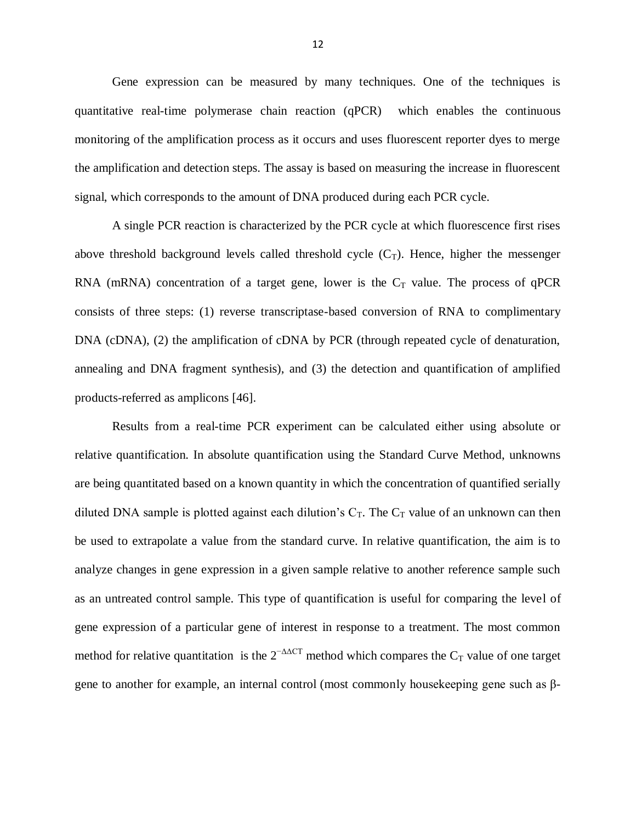Gene expression can be measured by many techniques. One of the techniques is quantitative real-time polymerase chain reaction (qPCR) which enables the continuous monitoring of the amplification process as it occurs and uses fluorescent reporter dyes to merge the amplification and detection steps. The assay is based on measuring the increase in fluorescent signal, which corresponds to the amount of DNA produced during each PCR cycle.

A single PCR reaction is characterized by the PCR cycle at which fluorescence first rises above threshold background levels called threshold cycle  $(C_T)$ . Hence, higher the messenger RNA (mRNA) concentration of a target gene, lower is the  $C_T$  value. The process of qPCR consists of three steps: (1) reverse transcriptase-based conversion of RNA to complimentary DNA (cDNA), (2) the amplification of cDNA by PCR (through repeated cycle of denaturation, annealing and DNA fragment synthesis), and (3) the detection and quantification of amplified products-referred as amplicons [\[46\]](#page-57-5).

Results from a real-time PCR experiment can be calculated either using absolute or relative quantification. In absolute quantification using the Standard Curve Method, unknowns are being quantitated based on a known quantity in which the concentration of quantified serially diluted DNA sample is plotted against each dilution's  $C_T$ . The  $C_T$  value of an unknown can then be used to extrapolate a value from the standard curve. In relative quantification, the aim is to analyze changes in gene expression in a given sample relative to another reference sample such as an untreated control sample. This type of quantification is useful for comparing the level of gene expression of a particular gene of interest in response to a treatment. The most common method for relative quantitation is the  $2^{-\Delta\Delta CT}$  method which compares the C<sub>T</sub> value of one target gene to another for example, an internal control (most commonly housekeeping gene such as β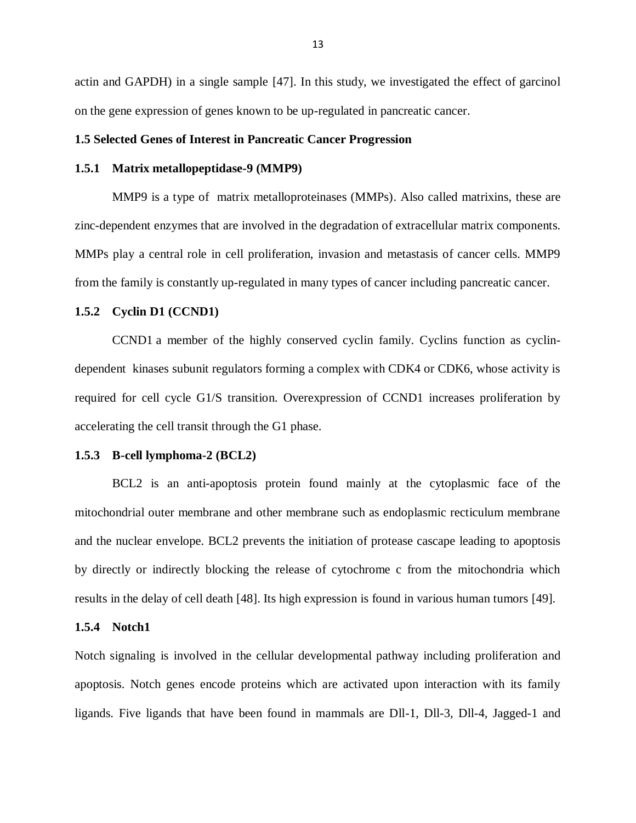actin and GAPDH) in a single sample [\[47\]](#page-57-6). In this study, we investigated the effect of garcinol on the gene expression of genes known to be up-regulated in pancreatic cancer.

## **1.5 Selected Genes of Interest in Pancreatic Cancer Progression**

#### **1.5.1 Matrix metallopeptidase-9 (MMP9)**

MMP9 is a type of matrix metalloproteinases (MMPs). Also called matrixins, these are zinc-dependent enzymes that are involved in the degradation of extracellular matrix components. MMPs play a central role in cell proliferation, invasion and metastasis of cancer cells. MMP9 from the family is constantly up-regulated in many types of cancer including pancreatic cancer.

#### **1.5.2 Cyclin D1 (CCND1)**

CCND1 a member of the highly conserved cyclin family. Cyclins function as cyclindependent kinases subunit regulators forming a complex with CDK4 or CDK6, whose activity is required for cell cycle G1/S transition. Overexpression of CCND1 increases proliferation by accelerating the cell transit through the G1 phase.

#### **1.5.3 B-cell lymphoma-2 (BCL2)**

BCL2 is an anti-apoptosis protein found mainly at the cytoplasmic face of the mitochondrial outer membrane and other membrane such as endoplasmic recticulum membrane and the nuclear envelope. BCL2 prevents the initiation of protease cascape leading to apoptosis by directly or indirectly blocking the release of cytochrome c from the mitochondria which results in the delay of cell death [\[48\]](#page-58-0). Its high expression is found in various human tumors [\[49\]](#page-58-1).

## **1.5.4 Notch1**

Notch signaling is involved in the cellular developmental pathway including proliferation and apoptosis. Notch genes encode proteins which are activated upon interaction with its family ligands. Five ligands that have been found in mammals are Dll-1, Dll-3, Dll-4, Jagged-1 and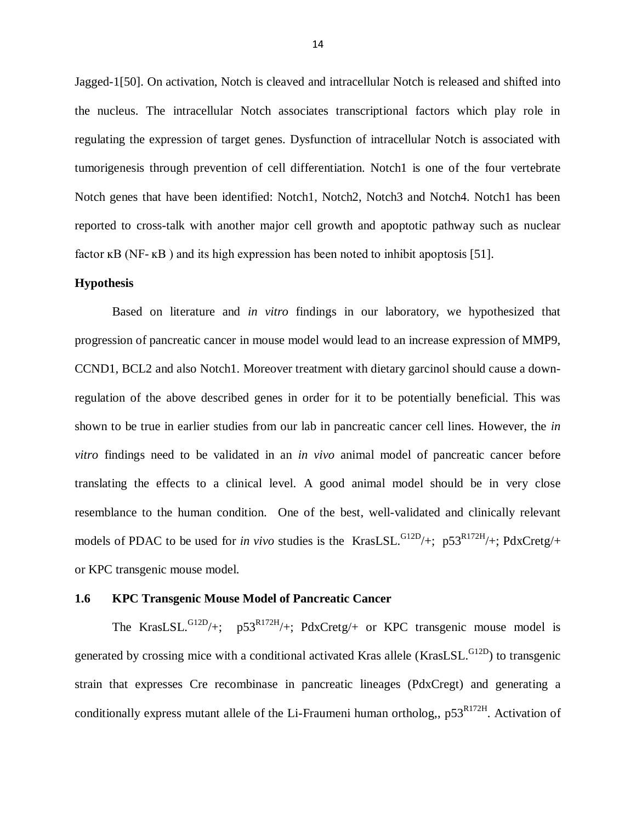Jagged-1[\[50\]](#page-58-2). On activation, Notch is cleaved and intracellular Notch is released and shifted into the nucleus. The intracellular Notch associates transcriptional factors which play role in regulating the expression of target genes. Dysfunction of intracellular Notch is associated with tumorigenesis through prevention of cell differentiation. Notch1 is one of the four vertebrate Notch genes that have been identified: Notch1, Notch2, Notch3 and Notch4. Notch1 has been reported to cross-talk with another major cell growth and apoptotic pathway such as nuclear factor  $\kappa$ B (NF- $\kappa$ B) and its high expression has been noted to inhibit apoptosis [\[51\]](#page-58-3).

#### **Hypothesis**

Based on literature and *in vitro* findings in our laboratory, we hypothesized that progression of pancreatic cancer in mouse model would lead to an increase expression of MMP9, CCND1, BCL2 and also Notch1. Moreover treatment with dietary garcinol should cause a downregulation of the above described genes in order for it to be potentially beneficial. This was shown to be true in earlier studies from our lab in pancreatic cancer cell lines. However, the *in vitro* findings need to be validated in an *in vivo* animal model of pancreatic cancer before translating the effects to a clinical level. A good animal model should be in very close resemblance to the human condition. One of the best, well-validated and clinically relevant models of PDAC to be used for *in vivo* studies is the KrasLSL.<sup>G12D</sup>/+; p53<sup>R172H</sup>/+; PdxCretg/+ or KPC transgenic mouse model.

#### **1.6 KPC Transgenic Mouse Model of Pancreatic Cancer**

The KrasLSL.<sup>G12D</sup>/+;  $p53^{R172H}/+$ ; PdxCretg/+ or KPC transgenic mouse model is generated by crossing mice with a conditional activated Kras allele (KrasLSL.<sup>G12D</sup>) to transgenic strain that expresses Cre recombinase in pancreatic lineages (PdxCregt) and generating a conditionally express mutant allele of the Li-Fraumeni human ortholog,,  $p53<sup>R172H</sup>$ . Activation of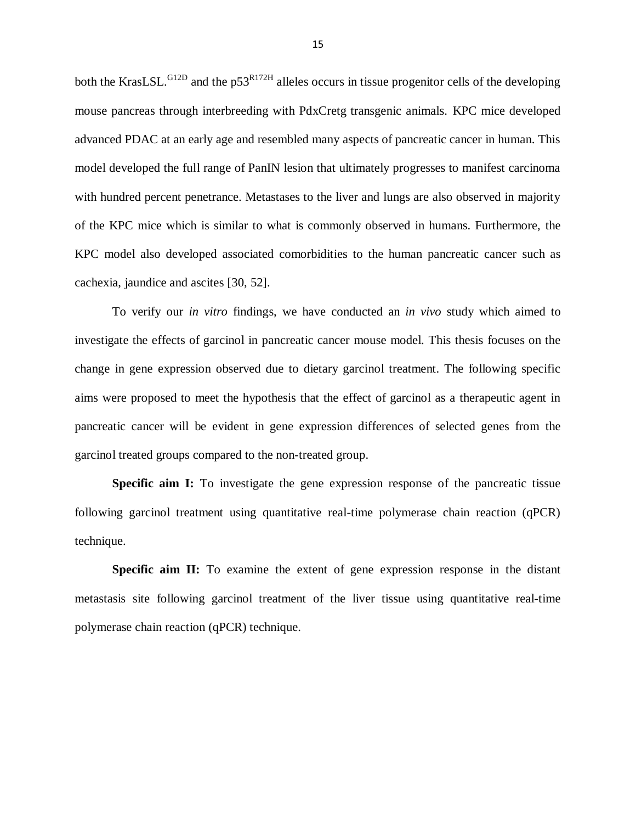both the KrasLSL. $^{G12D}$  and the p53<sup>R172H</sup> alleles occurs in tissue progenitor cells of the developing mouse pancreas through interbreeding with PdxCretg transgenic animals. KPC mice developed advanced PDAC at an early age and resembled many aspects of pancreatic cancer in human. This model developed the full range of PanIN lesion that ultimately progresses to manifest carcinoma with hundred percent penetrance. Metastases to the liver and lungs are also observed in majority of the KPC mice which is similar to what is commonly observed in humans. Furthermore, the KPC model also developed associated comorbidities to the human pancreatic cancer such as cachexia, jaundice and ascites [\[30,](#page-55-3) [52\]](#page-58-4).

To verify our *in vitro* findings, we have conducted an *in vivo* study which aimed to investigate the effects of garcinol in pancreatic cancer mouse model. This thesis focuses on the change in gene expression observed due to dietary garcinol treatment. The following specific aims were proposed to meet the hypothesis that the effect of garcinol as a therapeutic agent in pancreatic cancer will be evident in gene expression differences of selected genes from the garcinol treated groups compared to the non-treated group.

**Specific aim I:** To investigate the gene expression response of the pancreatic tissue following garcinol treatment using quantitative real-time polymerase chain reaction (qPCR) technique.

**Specific aim II:** To examine the extent of gene expression response in the distant metastasis site following garcinol treatment of the liver tissue using quantitative real-time polymerase chain reaction (qPCR) technique.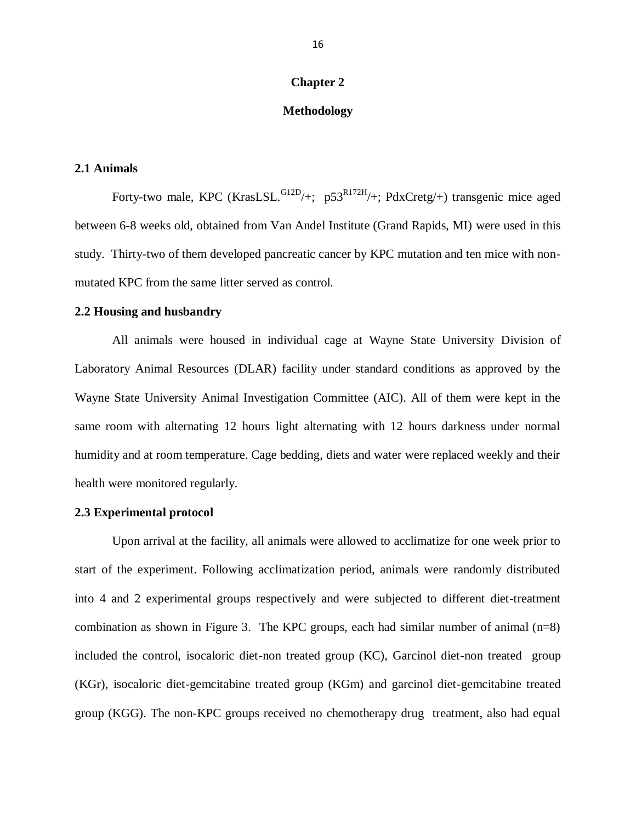#### **Chapter 2**

#### **Methodology**

#### **2.1 Animals**

Forty-two male, KPC (KrasLSL. $^{G12D}/+$ ; p53<sup>R172H</sup>/+; PdxCretg/+) transgenic mice aged between 6-8 weeks old, obtained from Van Andel Institute (Grand Rapids, MI) were used in this study. Thirty-two of them developed pancreatic cancer by KPC mutation and ten mice with nonmutated KPC from the same litter served as control.

#### **2.2 Housing and husbandry**

All animals were housed in individual cage at Wayne State University Division of Laboratory Animal Resources (DLAR) facility under standard conditions as approved by the Wayne State University Animal Investigation Committee (AIC). All of them were kept in the same room with alternating 12 hours light alternating with 12 hours darkness under normal humidity and at room temperature. Cage bedding, diets and water were replaced weekly and their health were monitored regularly.

#### **2.3 Experimental protocol**

Upon arrival at the facility, all animals were allowed to acclimatize for one week prior to start of the experiment. Following acclimatization period, animals were randomly distributed into 4 and 2 experimental groups respectively and were subjected to different diet-treatment combination as shown in Figure 3. The KPC groups, each had similar number of animal  $(n=8)$ included the control, isocaloric diet-non treated group (KC), Garcinol diet-non treated group (KGr), isocaloric diet-gemcitabine treated group (KGm) and garcinol diet-gemcitabine treated group (KGG). The non-KPC groups received no chemotherapy drug treatment, also had equal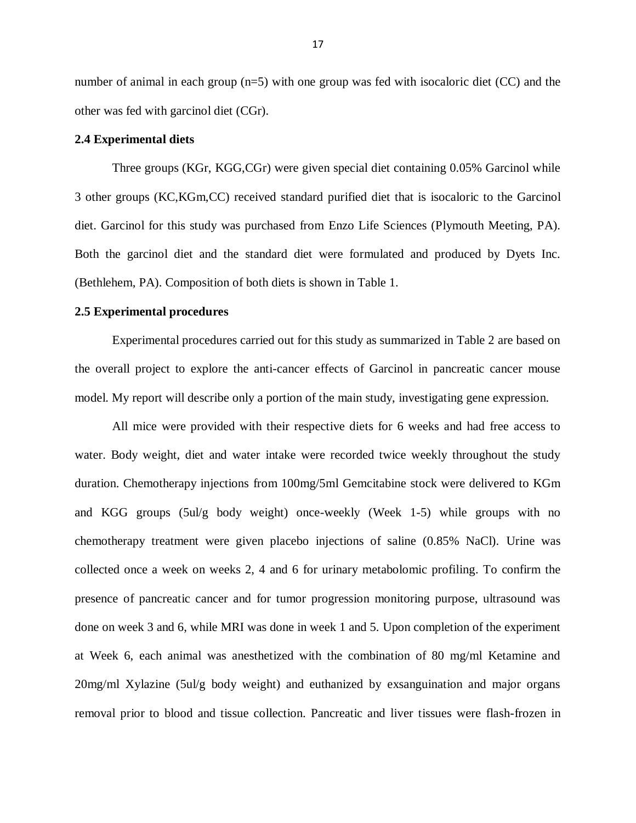number of animal in each group  $(n=5)$  with one group was fed with isocaloric diet (CC) and the other was fed with garcinol diet (CGr).

#### **2.4 Experimental diets**

Three groups (KGr, KGG,CGr) were given special diet containing 0.05% Garcinol while 3 other groups (KC,KGm,CC) received standard purified diet that is isocaloric to the Garcinol diet. Garcinol for this study was purchased from Enzo Life Sciences (Plymouth Meeting, PA). Both the garcinol diet and the standard diet were formulated and produced by Dyets Inc. (Bethlehem, PA). Composition of both diets is shown in Table 1.

#### **2.5 Experimental procedures**

Experimental procedures carried out for this study as summarized in Table 2 are based on the overall project to explore the anti-cancer effects of Garcinol in pancreatic cancer mouse model. My report will describe only a portion of the main study, investigating gene expression.

All mice were provided with their respective diets for 6 weeks and had free access to water. Body weight, diet and water intake were recorded twice weekly throughout the study duration. Chemotherapy injections from 100mg/5ml Gemcitabine stock were delivered to KGm and KGG groups (5ul/g body weight) once-weekly (Week 1-5) while groups with no chemotherapy treatment were given placebo injections of saline (0.85% NaCl). Urine was collected once a week on weeks 2, 4 and 6 for urinary metabolomic profiling. To confirm the presence of pancreatic cancer and for tumor progression monitoring purpose, ultrasound was done on week 3 and 6, while MRI was done in week 1 and 5. Upon completion of the experiment at Week 6, each animal was anesthetized with the combination of 80 mg/ml Ketamine and 20mg/ml Xylazine (5ul/g body weight) and euthanized by exsanguination and major organs removal prior to blood and tissue collection. Pancreatic and liver tissues were flash-frozen in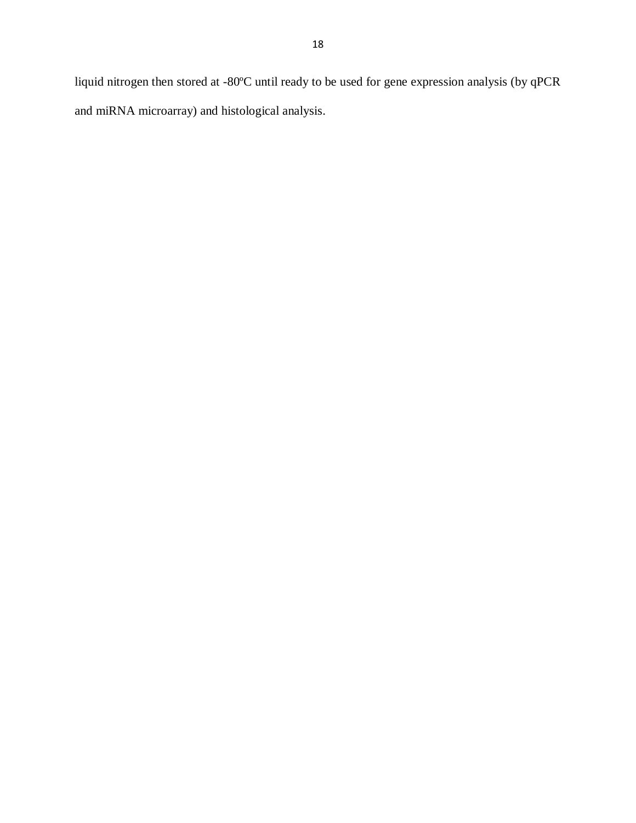liquid nitrogen then stored at -80ºC until ready to be used for gene expression analysis (by qPCR and miRNA microarray) and histological analysis.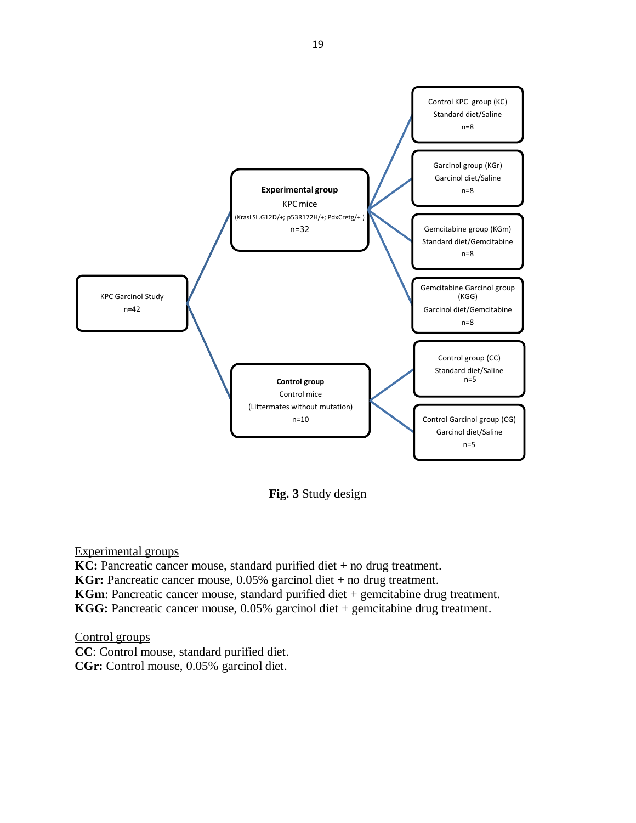

**Fig. 3** Study design

**KC:** Pancreatic cancer mouse, standard purified diet + no drug treatment. **KGr:** Pancreatic cancer mouse, 0.05% garcinol diet + no drug treatment. **KGm**: Pancreatic cancer mouse, standard purified diet + gemcitabine drug treatment. **KGG:** Pancreatic cancer mouse, 0.05% garcinol diet + gemcitabine drug treatment.

Control groups

**CC**: Control mouse, standard purified diet. **CGr:** Control mouse, 0.05% garcinol diet.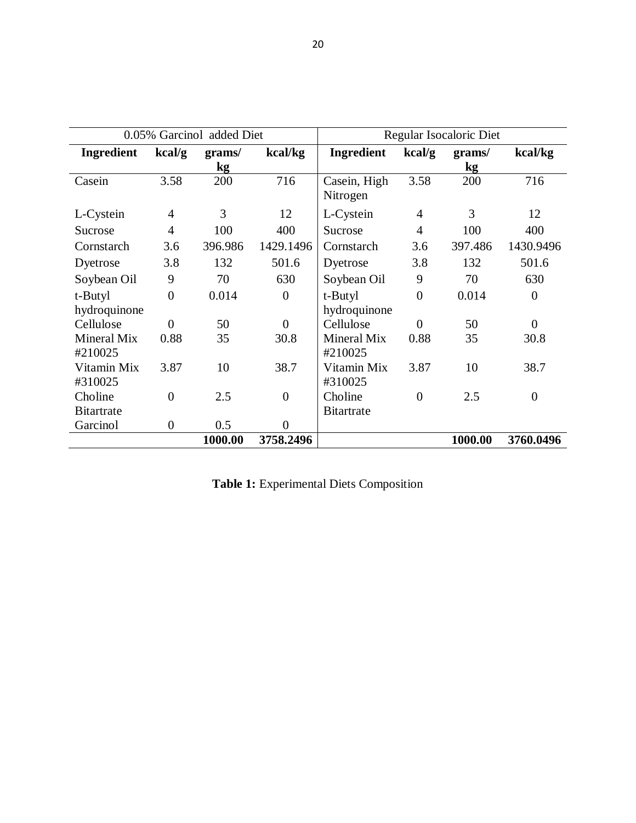|                               |                | 0.05% Garcinol added Diet |                |                          |                | Regular Isocaloric Diet |                |
|-------------------------------|----------------|---------------------------|----------------|--------------------------|----------------|-------------------------|----------------|
| <b>Ingredient</b>             | kcal/g         | grams/<br>kg              | kcal/kg        | <b>Ingredient</b>        | kcal/g         | grams/<br>kg            | kcal/kg        |
| Casein                        | 3.58           | 200                       | 716            | Casein, High<br>Nitrogen | 3.58           | 200                     | 716            |
| L-Cystein                     | $\overline{4}$ | 3                         | 12             | L-Cystein                | 4              | 3                       | 12             |
| Sucrose                       | $\overline{4}$ | 100                       | 400            | Sucrose                  | $\overline{4}$ | 100                     | 400            |
| Cornstarch                    | 3.6            | 396.986                   | 1429.1496      | Cornstarch               | 3.6            | 397.486                 | 1430.9496      |
| Dyetrose                      | 3.8            | 132                       | 501.6          | Dyetrose                 | 3.8            | 132                     | 501.6          |
| Soybean Oil                   | 9              | 70                        | 630            | Soybean Oil              | 9              | 70                      | 630            |
| t-Butyl                       | $\overline{0}$ | 0.014                     | $\Omega$       | t-Butyl                  | $\overline{0}$ | 0.014                   | $\overline{0}$ |
| hydroquinone                  |                |                           |                | hydroquinone             |                |                         |                |
| Cellulose                     | $\theta$       | 50                        | $\Omega$       | Cellulose                | $\theta$       | 50                      | $\overline{0}$ |
| <b>Mineral Mix</b><br>#210025 | 0.88           | 35                        | 30.8           | Mineral Mix<br>#210025   | 0.88           | 35                      | 30.8           |
| Vitamin Mix<br>#310025        | 3.87           | 10                        | 38.7           | Vitamin Mix<br>#310025   | 3.87           | 10                      | 38.7           |
| Choline                       | $\overline{0}$ | 2.5                       | $\overline{0}$ | Choline                  | $\overline{0}$ | 2.5                     | $\overline{0}$ |
| <b>Bitartrate</b>             |                |                           |                | <b>Bitartrate</b>        |                |                         |                |
| Garcinol                      | $\overline{0}$ | 0.5                       | $\Omega$       |                          |                |                         |                |
|                               |                | 1000.00                   | 3758.2496      |                          |                | 1000.00                 | 3760.0496      |

|  |  |  | Table 1: Experimental Diets Composition |
|--|--|--|-----------------------------------------|
|--|--|--|-----------------------------------------|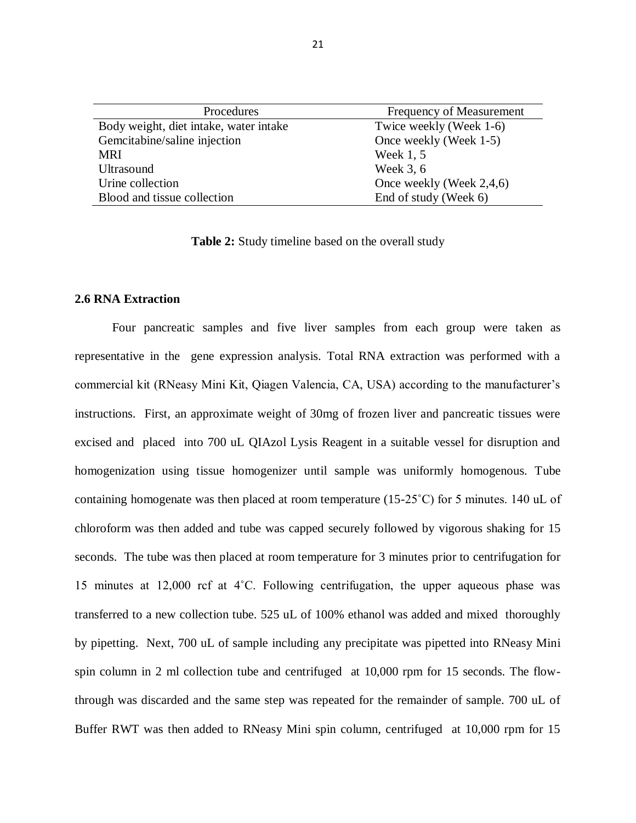| Procedures                             | Frequency of Measurement |
|----------------------------------------|--------------------------|
| Body weight, diet intake, water intake | Twice weekly (Week 1-6)  |
| Gemcitabine/saline injection           | Once weekly (Week 1-5)   |
| <b>MRI</b>                             | Week 1, 5                |
| <b>Ultrasound</b>                      | Week 3, 6                |
| Urine collection                       | Once weekly (Week 2,4,6) |
| Blood and tissue collection            | End of study (Week 6)    |

**Table 2:** Study timeline based on the overall study

#### **2.6 RNA Extraction**

Four pancreatic samples and five liver samples from each group were taken as representative in the gene expression analysis. Total RNA extraction was performed with a commercial kit (RNeasy Mini Kit, Qiagen Valencia, CA, USA) according to the manufacturer's instructions. First, an approximate weight of 30mg of frozen liver and pancreatic tissues were excised and placed into 700 uL QIAzol Lysis Reagent in a suitable vessel for disruption and homogenization using tissue homogenizer until sample was uniformly homogenous. Tube containing homogenate was then placed at room temperature (15-25<sup>°</sup>C) for 5 minutes. 140 uL of chloroform was then added and tube was capped securely followed by vigorous shaking for 15 seconds. The tube was then placed at room temperature for 3 minutes prior to centrifugation for 15 minutes at 12,000 rcf at 4˚C. Following centrifugation, the upper aqueous phase was transferred to a new collection tube. 525 uL of 100% ethanol was added and mixed thoroughly by pipetting. Next, 700 uL of sample including any precipitate was pipetted into RNeasy Mini spin column in 2 ml collection tube and centrifuged at 10,000 rpm for 15 seconds. The flowthrough was discarded and the same step was repeated for the remainder of sample. 700 uL of Buffer RWT was then added to RNeasy Mini spin column, centrifuged at 10,000 rpm for 15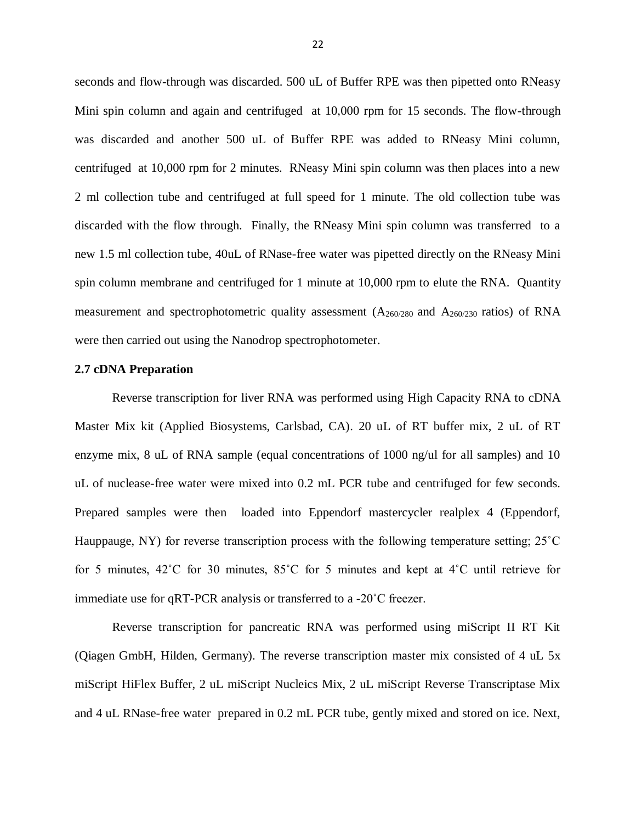seconds and flow-through was discarded. 500 uL of Buffer RPE was then pipetted onto RNeasy Mini spin column and again and centrifuged at 10,000 rpm for 15 seconds. The flow-through was discarded and another 500 uL of Buffer RPE was added to RNeasy Mini column, centrifuged at 10,000 rpm for 2 minutes. RNeasy Mini spin column was then places into a new 2 ml collection tube and centrifuged at full speed for 1 minute. The old collection tube was discarded with the flow through. Finally, the RNeasy Mini spin column was transferred to a new 1.5 ml collection tube, 40uL of RNase-free water was pipetted directly on the RNeasy Mini spin column membrane and centrifuged for 1 minute at 10,000 rpm to elute the RNA. Quantity measurement and spectrophotometric quality assessment  $(A_{260/280}$  and  $A_{260/230}$  ratios) of RNA were then carried out using the Nanodrop spectrophotometer.

#### **2.7 cDNA Preparation**

Reverse transcription for liver RNA was performed using High Capacity RNA to cDNA Master Mix kit (Applied Biosystems, Carlsbad, CA). 20 uL of RT buffer mix, 2 uL of RT enzyme mix, 8 uL of RNA sample (equal concentrations of 1000 ng/ul for all samples) and 10 uL of nuclease-free water were mixed into 0.2 mL PCR tube and centrifuged for few seconds. Prepared samples were then loaded into Eppendorf mastercycler realplex 4 (Eppendorf, Hauppauge, NY) for reverse transcription process with the following temperature setting; 25<sup>°</sup>C for 5 minutes, 42˚C for 30 minutes, 85˚C for 5 minutes and kept at 4˚C until retrieve for immediate use for qRT-PCR analysis or transferred to a -20˚C freezer.

Reverse transcription for pancreatic RNA was performed using miScript II RT Kit (Qiagen GmbH, Hilden, Germany). The reverse transcription master mix consisted of 4 uL 5x miScript HiFlex Buffer, 2 uL miScript Nucleics Mix, 2 uL miScript Reverse Transcriptase Mix and 4 uL RNase-free water prepared in 0.2 mL PCR tube, gently mixed and stored on ice. Next,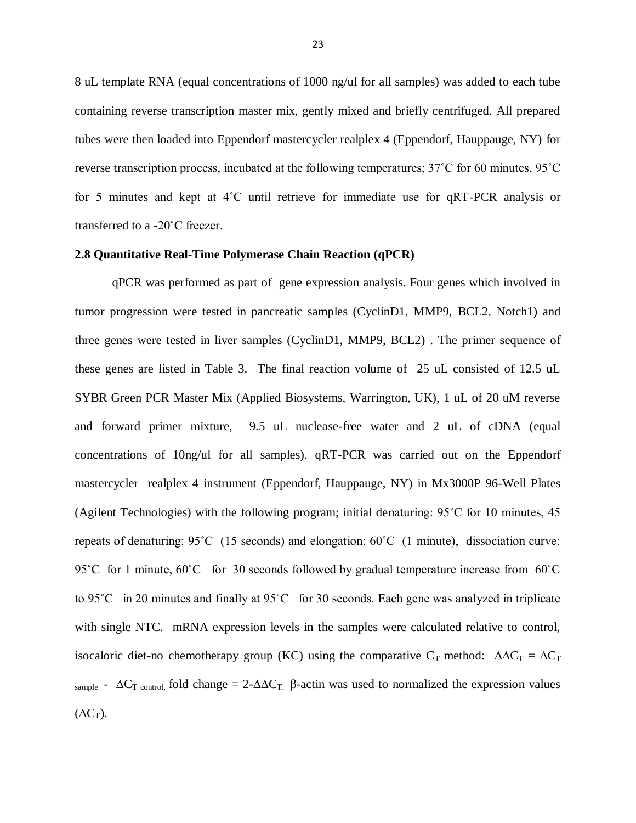8 uL template RNA (equal concentrations of 1000 ng/ul for all samples) was added to each tube containing reverse transcription master mix, gently mixed and briefly centrifuged. All prepared tubes were then loaded into Eppendorf mastercycler realplex 4 (Eppendorf, Hauppauge, NY) for reverse transcription process, incubated at the following temperatures; 37˚C for 60 minutes, 95˚C for 5 minutes and kept at 4˚C until retrieve for immediate use for qRT-PCR analysis or transferred to a -20˚C freezer.

#### **2.8 Quantitative Real-Time Polymerase Chain Reaction (qPCR)**

qPCR was performed as part of gene expression analysis. Four genes which involved in tumor progression were tested in pancreatic samples (CyclinD1, MMP9, BCL2, Notch1) and three genes were tested in liver samples (CyclinD1, MMP9, BCL2) . The primer sequence of these genes are listed in Table 3. The final reaction volume of 25 uL consisted of 12.5 uL SYBR Green PCR Master Mix (Applied Biosystems, Warrington, UK), 1 uL of 20 uM reverse and forward primer mixture, 9.5 uL nuclease-free water and 2 uL of cDNA (equal concentrations of 10ng/ul for all samples). qRT-PCR was carried out on the Eppendorf mastercycler realplex 4 instrument (Eppendorf, Hauppauge, NY) in Mx3000P 96-Well Plates (Agilent Technologies) with the following program; initial denaturing: 95˚C for 10 minutes, 45 repeats of denaturing: 95˚C (15 seconds) and elongation: 60˚C (1 minute), dissociation curve: 95˚C for 1 minute, 60˚C for 30 seconds followed by gradual temperature increase from 60˚C to 95˚C in 20 minutes and finally at 95˚C for 30 seconds. Each gene was analyzed in triplicate with single NTC. mRNA expression levels in the samples were calculated relative to control, isocaloric diet-no chemotherapy group (KC) using the comparative C<sub>T</sub> method:  $\Delta \Delta C_T = \Delta C_T$ sample -  $\Delta C_T$  control, fold change = 2- $\Delta \Delta C_T$ . β-actin was used to normalized the expression values  $(\Delta C_T)$ .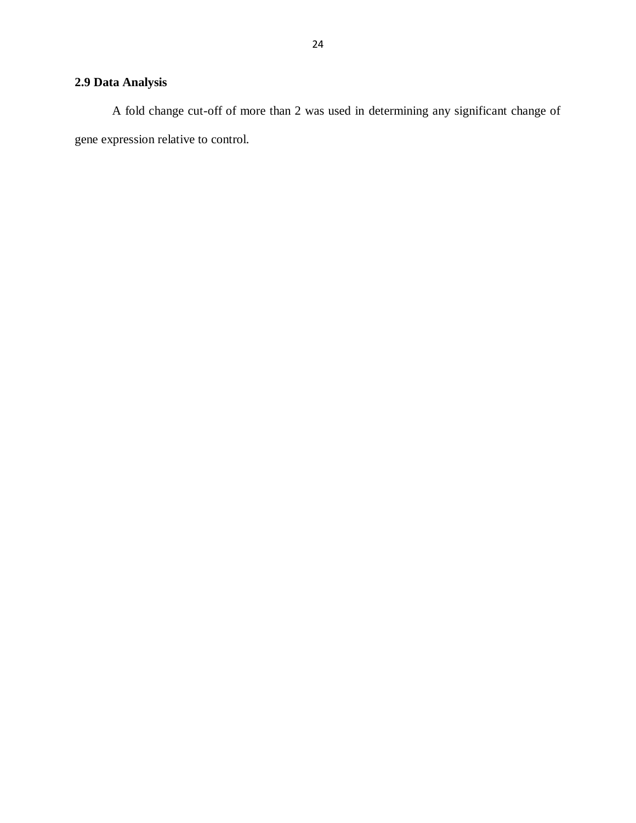# **2.9 Data Analysis**

A fold change cut-off of more than 2 was used in determining any significant change of gene expression relative to control.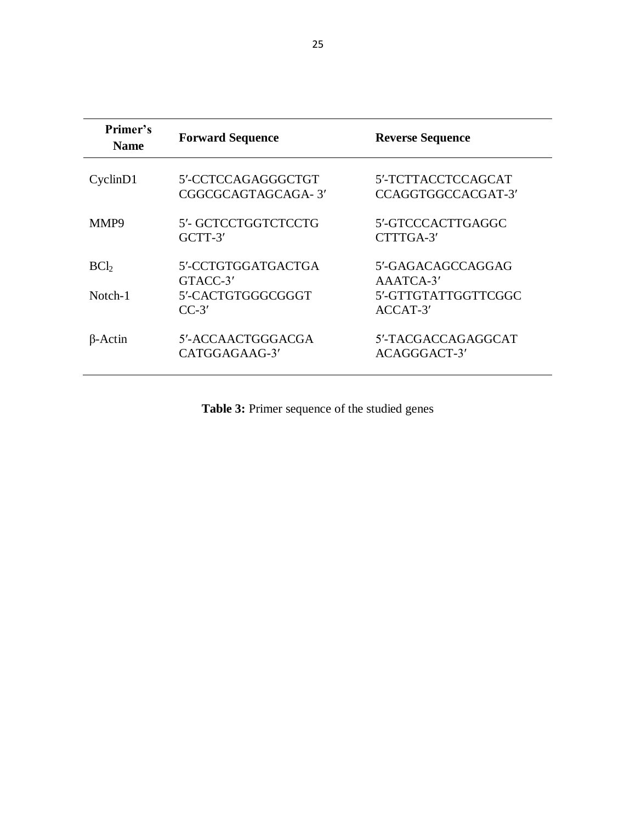| Primer's<br><b>Name</b>    | <b>Forward Sequence</b>                                        | <b>Reverse Sequence</b>                                           |
|----------------------------|----------------------------------------------------------------|-------------------------------------------------------------------|
| CyclinD1                   | 5'-CCTCCAGAGGGCTGT<br>CGGCGCAGTAGCAGA-3'                       | 5'-TCTTACCTCCAGCAT<br>CCAGGTGGCCACGAT-3'                          |
| MMP9                       | 5'- GCTCCTGGTCTCCTG<br>$GCTT-3'$                               | 5'-GTCCCACTTGAGGC<br>CTTTGA-3'                                    |
| BC <sub>b</sub><br>Notch-1 | 5'-CCTGTGGATGACTGA<br>GTACC-3'<br>5'-CACTGTGGGCGGGT<br>$CC-3'$ | 5'-GAGACAGCCAGGAG<br>AAATCA-3'<br>5'-GTTGTATTGGTTCGGC<br>ACCAT-3' |
| $\beta$ -Actin             | 5'-ACCAACTGGGACGA<br>CATGGAGAAG-3'                             | 5'-TACGACCAGAGGCAT<br>ACAGGGACT-3'                                |

**Table 3:** Primer sequence of the studied genes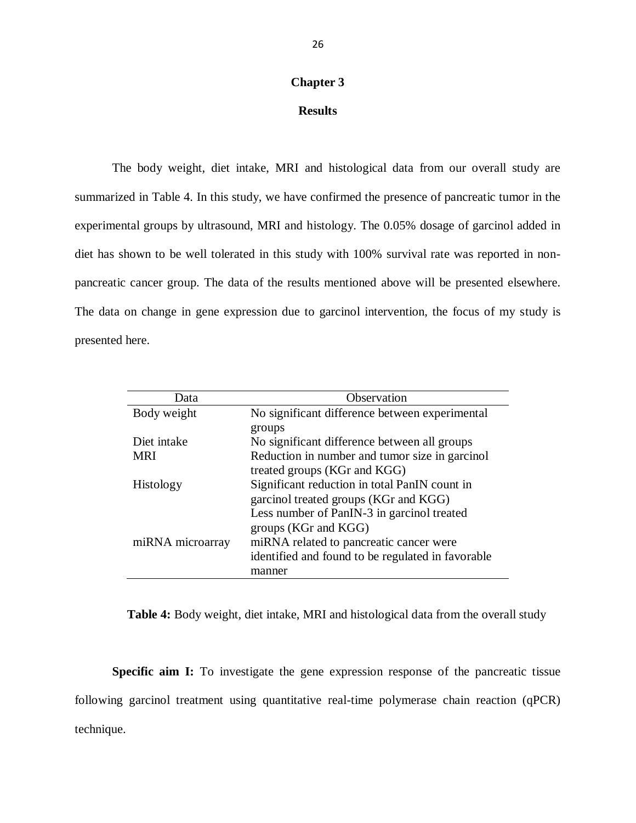#### **Chapter 3**

## **Results**

The body weight, diet intake, MRI and histological data from our overall study are summarized in Table 4. In this study, we have confirmed the presence of pancreatic tumor in the experimental groups by ultrasound, MRI and histology. The 0.05% dosage of garcinol added in diet has shown to be well tolerated in this study with 100% survival rate was reported in nonpancreatic cancer group. The data of the results mentioned above will be presented elsewhere. The data on change in gene expression due to garcinol intervention, the focus of my study is presented here.

| Data             | Observation                                       |
|------------------|---------------------------------------------------|
| Body weight      | No significant difference between experimental    |
|                  | groups                                            |
| Diet intake      | No significant difference between all groups      |
| <b>MRI</b>       | Reduction in number and tumor size in garcinol    |
|                  | treated groups (KGr and KGG)                      |
| Histology        | Significant reduction in total PanIN count in     |
|                  | garcinol treated groups (KGr and KGG)             |
|                  | Less number of PanIN-3 in garcinol treated        |
|                  | groups (KGr and KGG)                              |
| miRNA microarray | miRNA related to pancreatic cancer were           |
|                  | identified and found to be regulated in favorable |
|                  | manner                                            |

**Table 4:** Body weight, diet intake, MRI and histological data from the overall study

**Specific aim I:** To investigate the gene expression response of the pancreatic tissue following garcinol treatment using quantitative real-time polymerase chain reaction (qPCR) technique.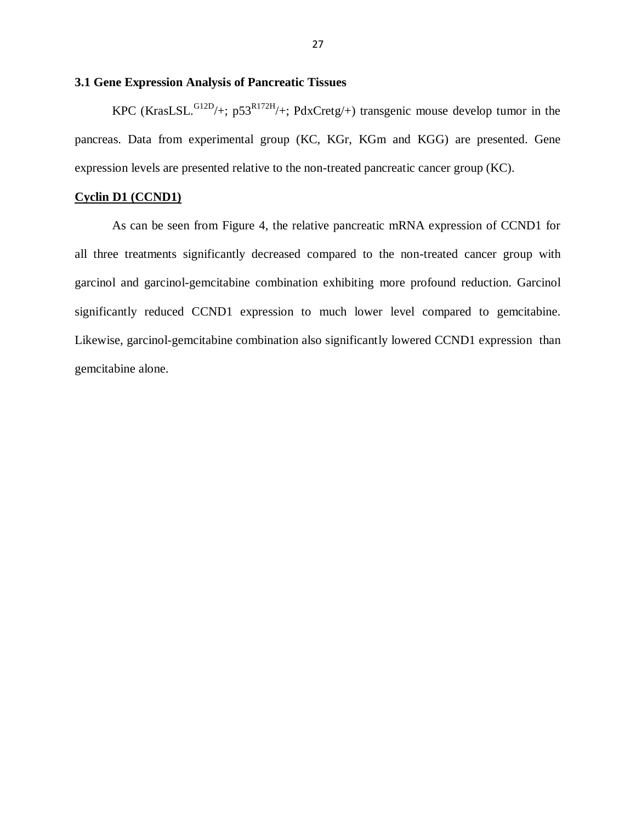# **3.1 Gene Expression Analysis of Pancreatic Tissues**

KPC (KrasLSL. $G12D/+$ ; p53<sup>R172H</sup>/+; PdxCretg/+) transgenic mouse develop tumor in the pancreas. Data from experimental group (KC, KGr, KGm and KGG) are presented. Gene expression levels are presented relative to the non-treated pancreatic cancer group (KC).

# **Cyclin D1 (CCND1)**

As can be seen from Figure 4, the relative pancreatic mRNA expression of CCND1 for all three treatments significantly decreased compared to the non-treated cancer group with garcinol and garcinol-gemcitabine combination exhibiting more profound reduction. Garcinol significantly reduced CCND1 expression to much lower level compared to gemcitabine. Likewise, garcinol-gemcitabine combination also significantly lowered CCND1 expression than gemcitabine alone.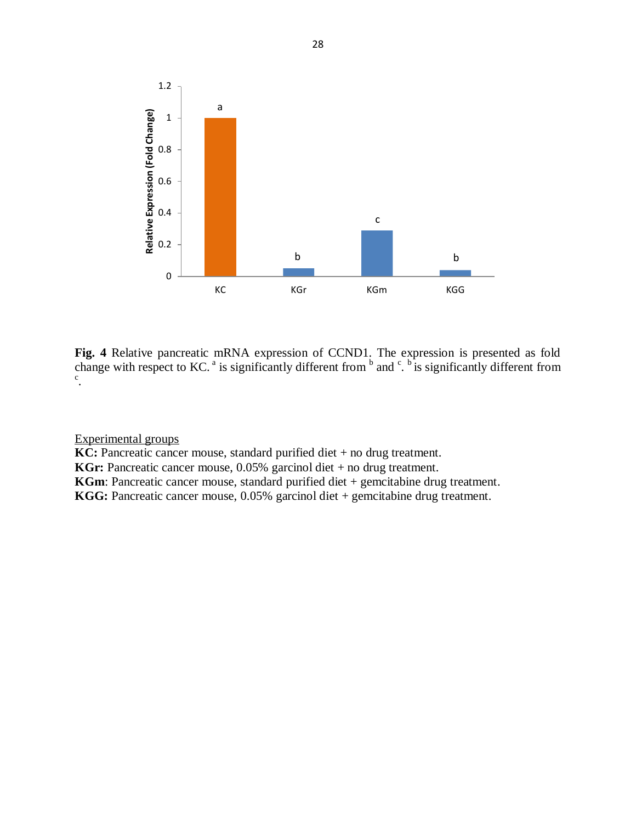

**Fig. 4** Relative pancreatic mRNA expression of CCND1. The expression is presented as fold change with respect to KC.<sup>a</sup> is significantly different from  $\frac{1}{2}$  and  $\frac{c}{2}$ .  $\frac{b}{2}$  is significantly different from c .

**KC:** Pancreatic cancer mouse, standard purified diet + no drug treatment.

**KGr:** Pancreatic cancer mouse, 0.05% garcinol diet + no drug treatment.

**KGm**: Pancreatic cancer mouse, standard purified diet + gemcitabine drug treatment.

**KGG:** Pancreatic cancer mouse, 0.05% garcinol diet + gemcitabine drug treatment.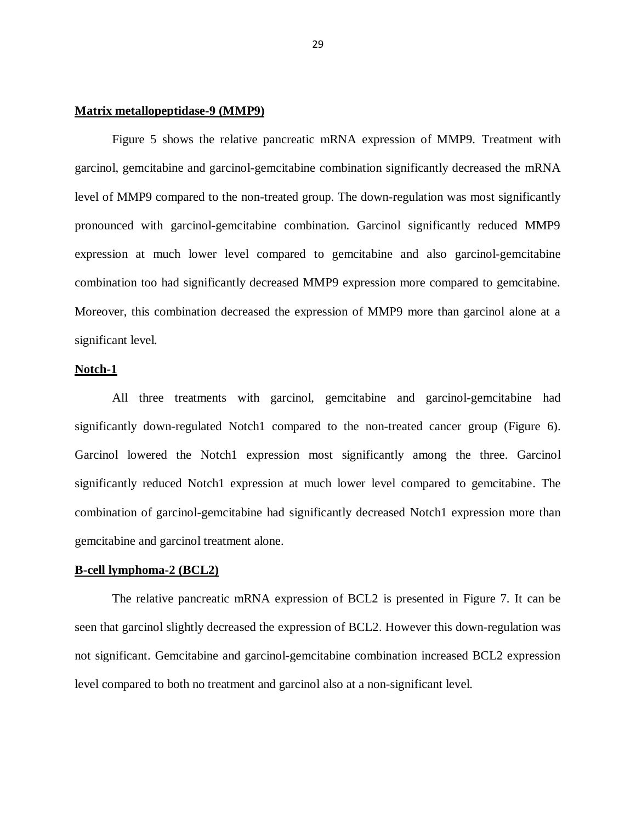#### **Matrix metallopeptidase-9 (MMP9)**

Figure 5 shows the relative pancreatic mRNA expression of MMP9. Treatment with garcinol, gemcitabine and garcinol-gemcitabine combination significantly decreased the mRNA level of MMP9 compared to the non-treated group. The down-regulation was most significantly pronounced with garcinol-gemcitabine combination. Garcinol significantly reduced MMP9 expression at much lower level compared to gemcitabine and also garcinol-gemcitabine combination too had significantly decreased MMP9 expression more compared to gemcitabine. Moreover, this combination decreased the expression of MMP9 more than garcinol alone at a significant level.

#### **Notch-1**

All three treatments with garcinol, gemcitabine and garcinol-gemcitabine had significantly down-regulated Notch1 compared to the non-treated cancer group (Figure 6). Garcinol lowered the Notch1 expression most significantly among the three. Garcinol significantly reduced Notch1 expression at much lower level compared to gemcitabine. The combination of garcinol-gemcitabine had significantly decreased Notch1 expression more than gemcitabine and garcinol treatment alone.

#### **B-cell lymphoma-2 (BCL2)**

The relative pancreatic mRNA expression of BCL2 is presented in Figure 7. It can be seen that garcinol slightly decreased the expression of BCL2. However this down-regulation was not significant. Gemcitabine and garcinol-gemcitabine combination increased BCL2 expression level compared to both no treatment and garcinol also at a non-significant level.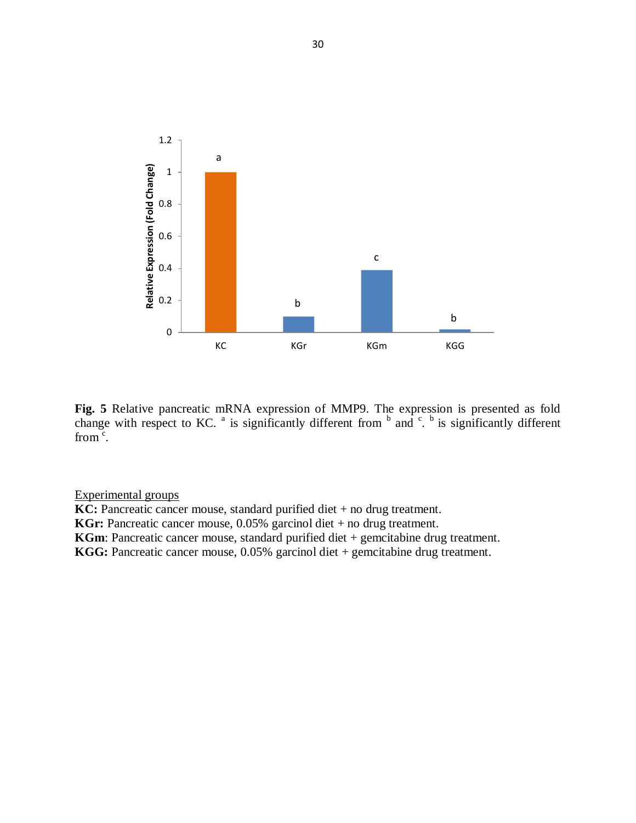

**Fig. 5** Relative pancreatic mRNA expression of MMP9. The expression is presented as fold change with respect to KC.  $^a$  is significantly different from  $^b$  and  $^c$ .  $^b$  is significantly different from  $\mathrm{c}$ .

**KC:** Pancreatic cancer mouse, standard purified diet + no drug treatment.

**KGr:** Pancreatic cancer mouse, 0.05% garcinol diet + no drug treatment.

**KGm**: Pancreatic cancer mouse, standard purified diet + gemcitabine drug treatment.

**KGG:** Pancreatic cancer mouse, 0.05% garcinol diet + gemcitabine drug treatment.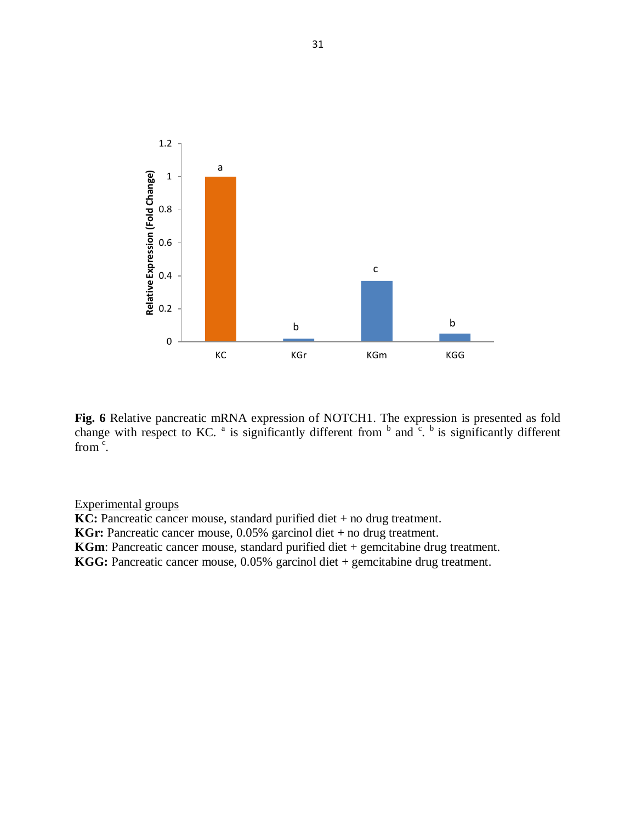

**Fig. 6** Relative pancreatic mRNA expression of NOTCH1. The expression is presented as fold change with respect to KC.  $^a$  is significantly different from  $^b$  and  $\cdot^c$ .  $^b$  is significantly different from  $\mathrm{c}$ .

**KC:** Pancreatic cancer mouse, standard purified diet + no drug treatment. **KGr:** Pancreatic cancer mouse, 0.05% garcinol diet + no drug treatment. **KGm**: Pancreatic cancer mouse, standard purified diet + gemcitabine drug treatment. **KGG:** Pancreatic cancer mouse, 0.05% garcinol diet + gemcitabine drug treatment.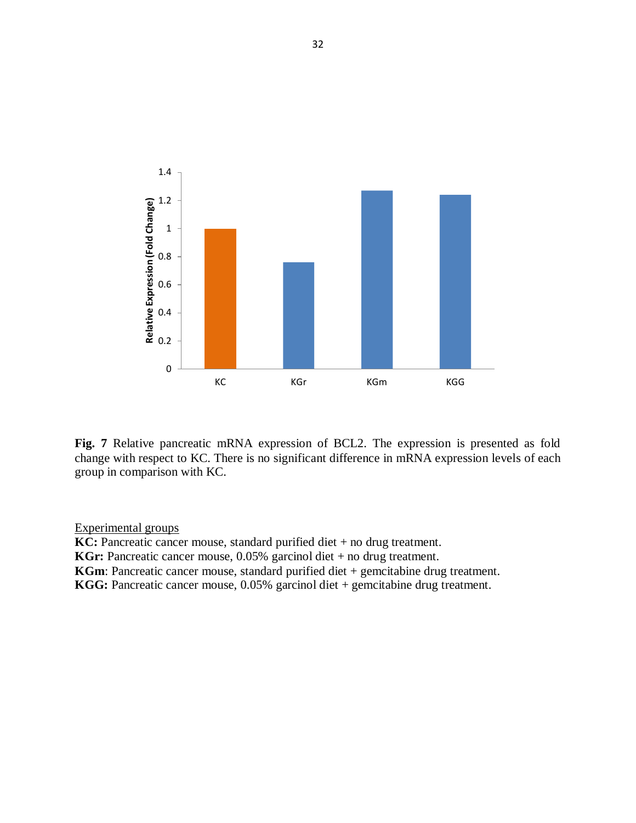

**Fig. 7** Relative pancreatic mRNA expression of BCL2. The expression is presented as fold change with respect to KC. There is no significant difference in mRNA expression levels of each group in comparison with KC.

**KC:** Pancreatic cancer mouse, standard purified diet + no drug treatment.

**KGr:** Pancreatic cancer mouse, 0.05% garcinol diet + no drug treatment.

**KGm**: Pancreatic cancer mouse, standard purified diet + gemcitabine drug treatment.

**KGG:** Pancreatic cancer mouse, 0.05% garcinol diet + gemcitabine drug treatment.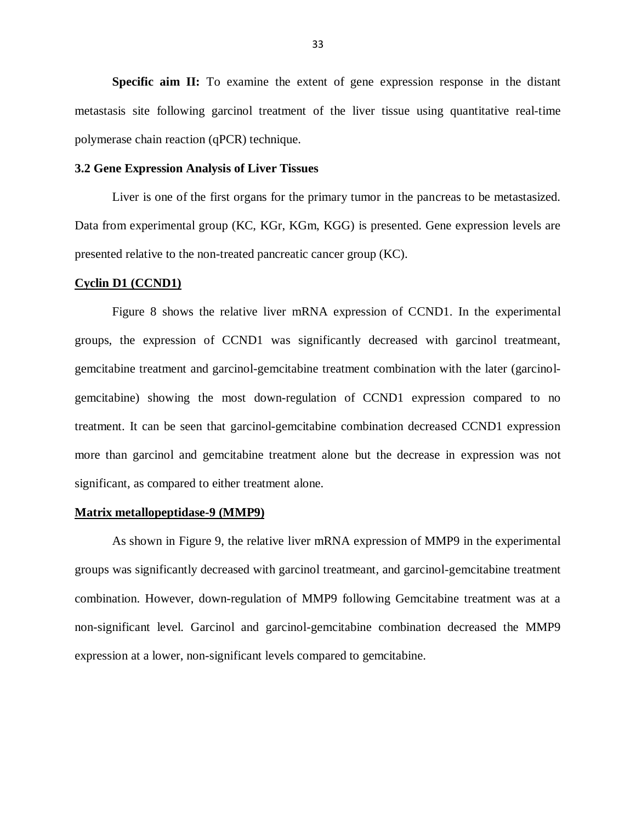**Specific aim II:** To examine the extent of gene expression response in the distant metastasis site following garcinol treatment of the liver tissue using quantitative real-time polymerase chain reaction (qPCR) technique.

#### **3.2 Gene Expression Analysis of Liver Tissues**

Liver is one of the first organs for the primary tumor in the pancreas to be metastasized. Data from experimental group (KC, KGr, KGm, KGG) is presented. Gene expression levels are presented relative to the non-treated pancreatic cancer group (KC).

#### **Cyclin D1 (CCND1)**

Figure 8 shows the relative liver mRNA expression of CCND1. In the experimental groups, the expression of CCND1 was significantly decreased with garcinol treatmeant, gemcitabine treatment and garcinol-gemcitabine treatment combination with the later (garcinolgemcitabine) showing the most down-regulation of CCND1 expression compared to no treatment. It can be seen that garcinol-gemcitabine combination decreased CCND1 expression more than garcinol and gemcitabine treatment alone but the decrease in expression was not significant, as compared to either treatment alone.

#### **Matrix metallopeptidase-9 (MMP9)**

As shown in Figure 9, the relative liver mRNA expression of MMP9 in the experimental groups was significantly decreased with garcinol treatmeant, and garcinol-gemcitabine treatment combination. However, down-regulation of MMP9 following Gemcitabine treatment was at a non-significant level. Garcinol and garcinol-gemcitabine combination decreased the MMP9 expression at a lower, non-significant levels compared to gemcitabine.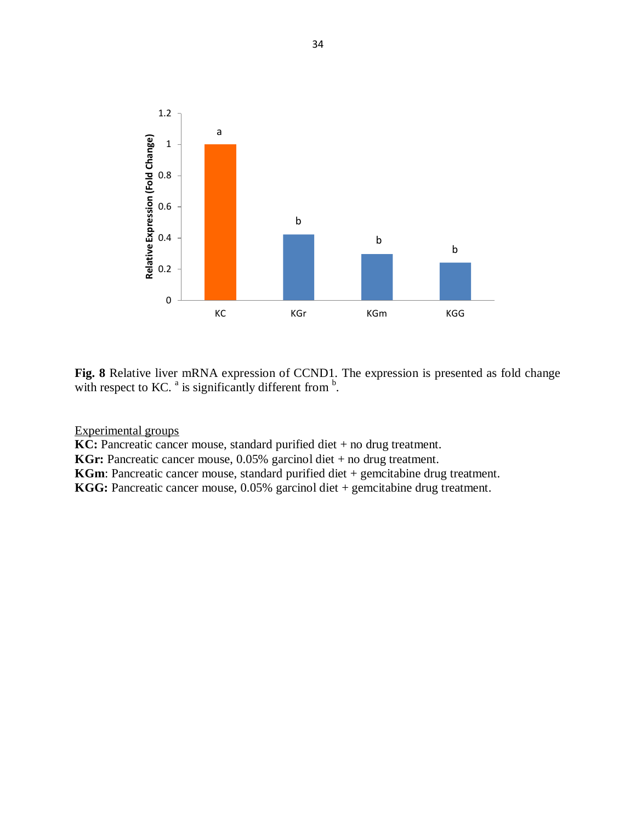

**Fig. 8** Relative liver mRNA expression of CCND1. The expression is presented as fold change with respect to KC.  $^{\text{a}}$  is significantly different from  $^{\text{b}}$ .

**KC:** Pancreatic cancer mouse, standard purified diet + no drug treatment.

**KGr:** Pancreatic cancer mouse, 0.05% garcinol diet + no drug treatment.

**KGm**: Pancreatic cancer mouse, standard purified diet + gemcitabine drug treatment.

**KGG:** Pancreatic cancer mouse, 0.05% garcinol diet + gemcitabine drug treatment.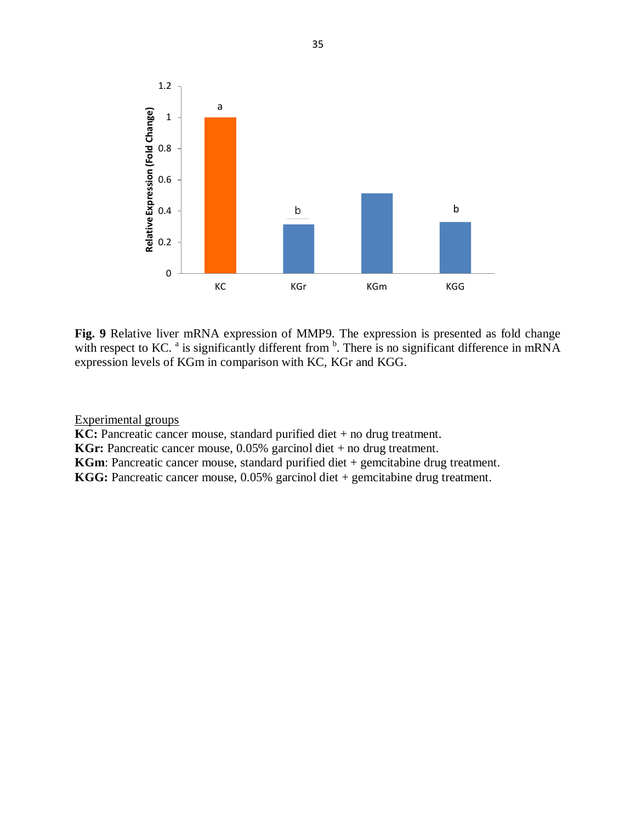

**Fig. 9** Relative liver mRNA expression of MMP9. The expression is presented as fold change with respect to KC.  $^{\circ}$  is significantly different from  $^{\circ}$ . There is no significant difference in mRNA expression levels of KGm in comparison with KC, KGr and KGG.

**KC:** Pancreatic cancer mouse, standard purified diet + no drug treatment.

**KGr:** Pancreatic cancer mouse, 0.05% garcinol diet + no drug treatment.

**KGm**: Pancreatic cancer mouse, standard purified diet + gemcitabine drug treatment.

**KGG:** Pancreatic cancer mouse, 0.05% garcinol diet + gemcitabine drug treatment.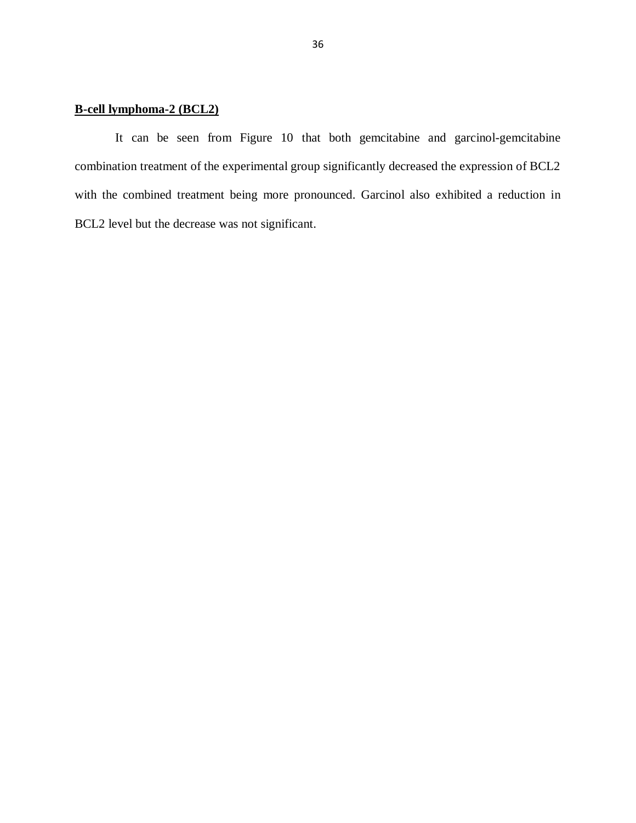# **B-cell lymphoma-2 (BCL2)**

It can be seen from Figure 10 that both gemcitabine and garcinol-gemcitabine combination treatment of the experimental group significantly decreased the expression of BCL2 with the combined treatment being more pronounced. Garcinol also exhibited a reduction in BCL2 level but the decrease was not significant.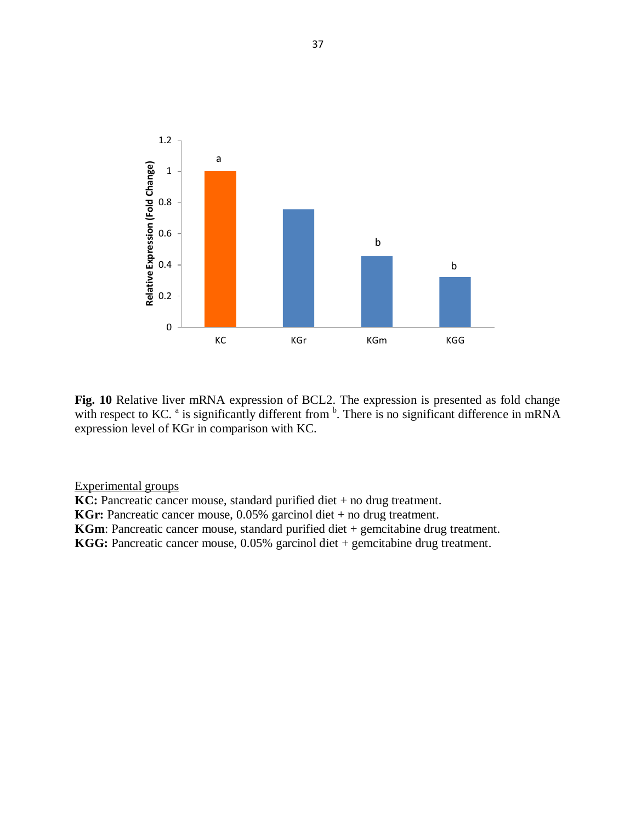

**Fig. 10** Relative liver mRNA expression of BCL2. The expression is presented as fold change with respect to KC.  $^{\circ}$  is significantly different from  $^{\circ}$ . There is no significant difference in mRNA expression level of KGr in comparison with KC.

**KC:** Pancreatic cancer mouse, standard purified diet + no drug treatment.

**KGr:** Pancreatic cancer mouse, 0.05% garcinol diet + no drug treatment.

**KGm**: Pancreatic cancer mouse, standard purified diet + gemcitabine drug treatment.

**KGG:** Pancreatic cancer mouse, 0.05% garcinol diet + gemcitabine drug treatment.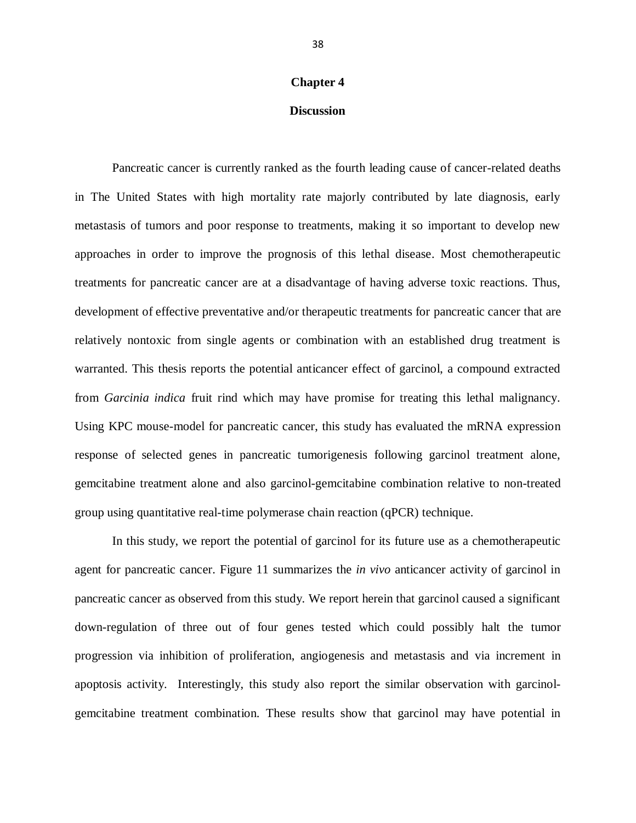## **Chapter 4**

## **Discussion**

Pancreatic cancer is currently ranked as the fourth leading cause of cancer-related deaths in The United States with high mortality rate majorly contributed by late diagnosis, early metastasis of tumors and poor response to treatments, making it so important to develop new approaches in order to improve the prognosis of this lethal disease. Most chemotherapeutic treatments for pancreatic cancer are at a disadvantage of having adverse toxic reactions. Thus, development of effective preventative and/or therapeutic treatments for pancreatic cancer that are relatively nontoxic from single agents or combination with an established drug treatment is warranted. This thesis reports the potential anticancer effect of garcinol, a compound extracted from *Garcinia indica* fruit rind which may have promise for treating this lethal malignancy. Using KPC mouse-model for pancreatic cancer, this study has evaluated the mRNA expression response of selected genes in pancreatic tumorigenesis following garcinol treatment alone, gemcitabine treatment alone and also garcinol-gemcitabine combination relative to non-treated group using quantitative real-time polymerase chain reaction (qPCR) technique.

In this study, we report the potential of garcinol for its future use as a chemotherapeutic agent for pancreatic cancer. Figure 11 summarizes the *in vivo* anticancer activity of garcinol in pancreatic cancer as observed from this study. We report herein that garcinol caused a significant down-regulation of three out of four genes tested which could possibly halt the tumor progression via inhibition of proliferation, angiogenesis and metastasis and via increment in apoptosis activity. Interestingly, this study also report the similar observation with garcinolgemcitabine treatment combination. These results show that garcinol may have potential in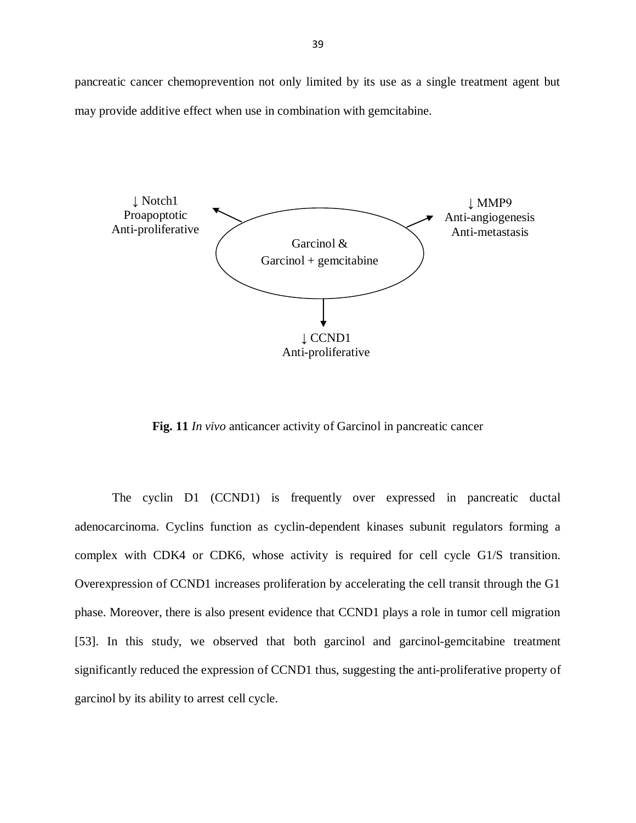pancreatic cancer chemoprevention not only limited by its use as a single treatment agent but may provide additive effect when use in combination with gemcitabine.



**Fig. 11** *In vivo* anticancer activity of Garcinol in pancreatic cancer

The cyclin D1 (CCND1) is frequently over expressed in pancreatic ductal adenocarcinoma. Cyclins function as cyclin-dependent kinases subunit regulators forming a complex with CDK4 or CDK6, whose activity is required for cell cycle G1/S transition. Overexpression of CCND1 increases proliferation by accelerating the cell transit through the G1 phase. Moreover, there is also present evidence that CCND1 plays a role in tumor cell migration [\[53\]](#page-58-5). In this study, we observed that both garcinol and garcinol-gemcitabine treatment significantly reduced the expression of CCND1 thus, suggesting the anti-proliferative property of garcinol by its ability to arrest cell cycle.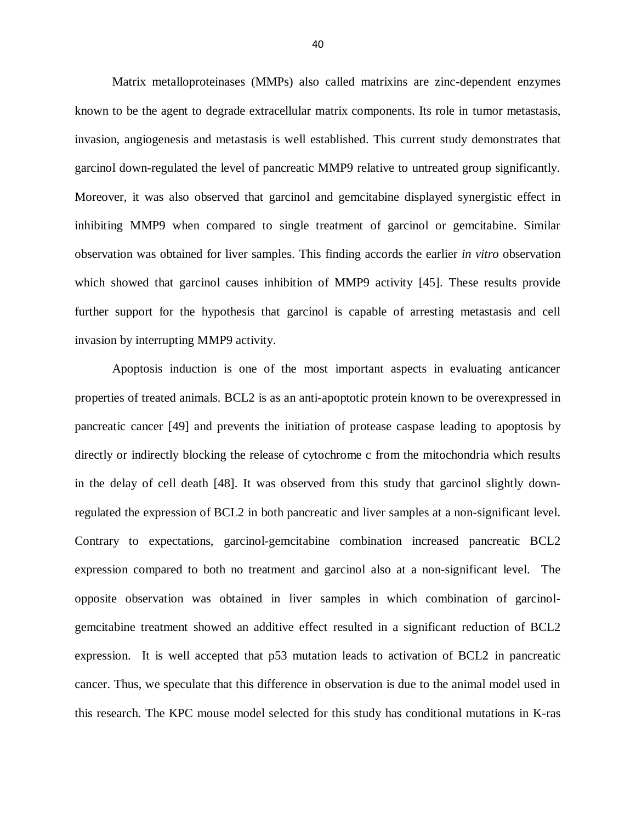Matrix metalloproteinases (MMPs) also called matrixins are zinc-dependent enzymes known to be the agent to degrade extracellular matrix components. Its role in tumor metastasis, invasion, angiogenesis and metastasis is well established. This current study demonstrates that garcinol down-regulated the level of pancreatic MMP9 relative to untreated group significantly. Moreover, it was also observed that garcinol and gemcitabine displayed synergistic effect in inhibiting MMP9 when compared to single treatment of garcinol or gemcitabine. Similar observation was obtained for liver samples. This finding accords the earlier *in vitro* observation which showed that garcinol causes inhibition of MMP9 activity [\[45\]](#page-57-4). These results provide further support for the hypothesis that garcinol is capable of arresting metastasis and cell invasion by interrupting MMP9 activity.

Apoptosis induction is one of the most important aspects in evaluating anticancer properties of treated animals. BCL2 is as an anti-apoptotic protein known to be overexpressed in pancreatic cancer [\[49\]](#page-58-1) and prevents the initiation of protease caspase leading to apoptosis by directly or indirectly blocking the release of cytochrome c from the mitochondria which results in the delay of cell death [\[48\]](#page-58-0). It was observed from this study that garcinol slightly downregulated the expression of BCL2 in both pancreatic and liver samples at a non-significant level. Contrary to expectations, garcinol-gemcitabine combination increased pancreatic BCL2 expression compared to both no treatment and garcinol also at a non-significant level. The opposite observation was obtained in liver samples in which combination of garcinolgemcitabine treatment showed an additive effect resulted in a significant reduction of BCL2 expression. It is well accepted that p53 mutation leads to activation of BCL2 in pancreatic cancer. Thus, we speculate that this difference in observation is due to the animal model used in this research. The KPC mouse model selected for this study has conditional mutations in K-ras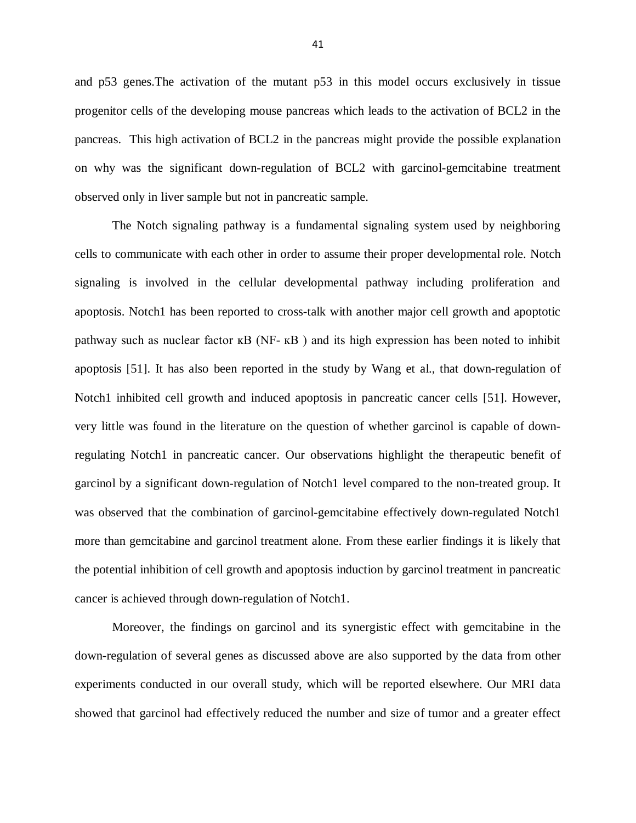and p53 genes.The activation of the mutant p53 in this model occurs exclusively in tissue progenitor cells of the developing mouse pancreas which leads to the activation of BCL2 in the pancreas. This high activation of BCL2 in the pancreas might provide the possible explanation on why was the significant down-regulation of BCL2 with garcinol-gemcitabine treatment observed only in liver sample but not in pancreatic sample.

The Notch signaling pathway is a fundamental signaling system used by neighboring cells to communicate with each other in order to assume their proper developmental role. Notch signaling is involved in the cellular developmental pathway including proliferation and apoptosis. Notch1 has been reported to cross-talk with another major cell growth and apoptotic pathway such as nuclear factor  $\kappa$ B (NF- $\kappa$ B) and its high expression has been noted to inhibit apoptosis [\[51\]](#page-58-3). It has also been reported in the study by Wang et al., that down-regulation of Notch1 inhibited cell growth and induced apoptosis in pancreatic cancer cells [\[51\]](#page-58-3). However, very little was found in the literature on the question of whether garcinol is capable of downregulating Notch1 in pancreatic cancer. Our observations highlight the therapeutic benefit of garcinol by a significant down-regulation of Notch1 level compared to the non-treated group. It was observed that the combination of garcinol-gemcitabine effectively down-regulated Notch1 more than gemcitabine and garcinol treatment alone. From these earlier findings it is likely that the potential inhibition of cell growth and apoptosis induction by garcinol treatment in pancreatic cancer is achieved through down-regulation of Notch1.

Moreover, the findings on garcinol and its synergistic effect with gemcitabine in the down-regulation of several genes as discussed above are also supported by the data from other experiments conducted in our overall study, which will be reported elsewhere. Our MRI data showed that garcinol had effectively reduced the number and size of tumor and a greater effect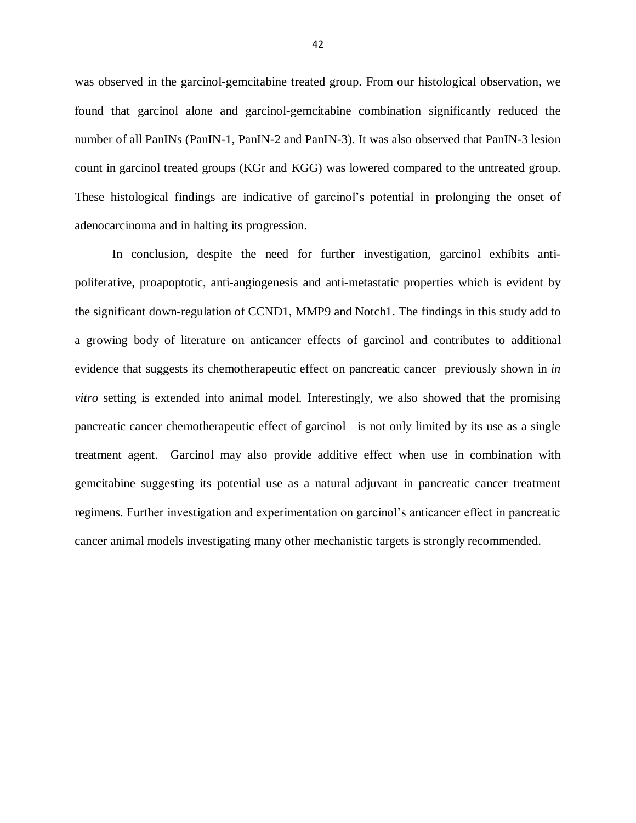was observed in the garcinol-gemcitabine treated group. From our histological observation, we found that garcinol alone and garcinol-gemcitabine combination significantly reduced the number of all PanINs (PanIN-1, PanIN-2 and PanIN-3). It was also observed that PanIN-3 lesion count in garcinol treated groups (KGr and KGG) was lowered compared to the untreated group. These histological findings are indicative of garcinol's potential in prolonging the onset of adenocarcinoma and in halting its progression.

In conclusion, despite the need for further investigation, garcinol exhibits antipoliferative, proapoptotic, anti-angiogenesis and anti-metastatic properties which is evident by the significant down-regulation of CCND1, MMP9 and Notch1. The findings in this study add to a growing body of literature on anticancer effects of garcinol and contributes to additional evidence that suggests its chemotherapeutic effect on pancreatic cancer previously shown in *in vitro* setting is extended into animal model. Interestingly, we also showed that the promising pancreatic cancer chemotherapeutic effect of garcinol is not only limited by its use as a single treatment agent. Garcinol may also provide additive effect when use in combination with gemcitabine suggesting its potential use as a natural adjuvant in pancreatic cancer treatment regimens. Further investigation and experimentation on garcinol's anticancer effect in pancreatic cancer animal models investigating many other mechanistic targets is strongly recommended.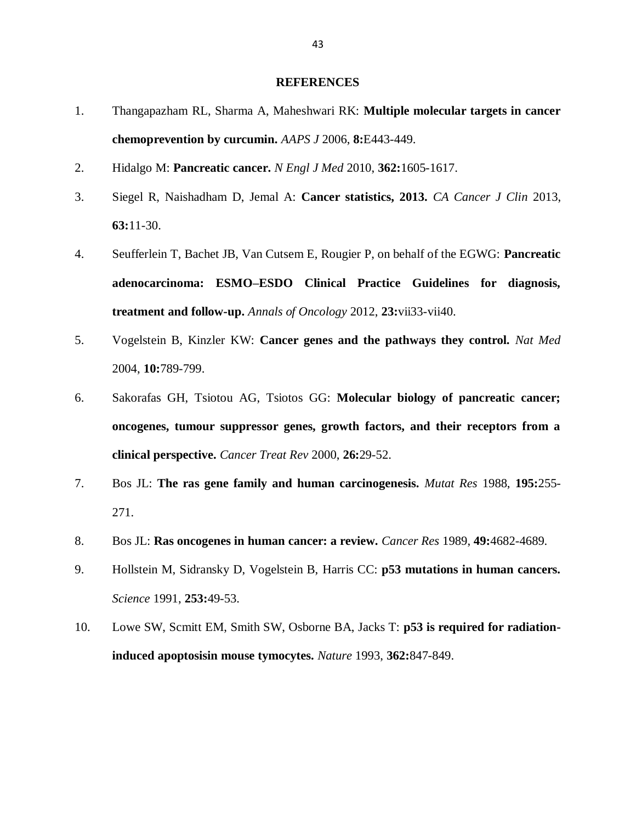#### **REFERENCES**

- <span id="page-52-0"></span>1. Thangapazham RL, Sharma A, Maheshwari RK: **Multiple molecular targets in cancer chemoprevention by curcumin.** *AAPS J* 2006, **8:**E443-449.
- <span id="page-52-1"></span>2. Hidalgo M: **Pancreatic cancer.** *N Engl J Med* 2010, **362:**1605-1617.
- <span id="page-52-2"></span>3. Siegel R, Naishadham D, Jemal A: **Cancer statistics, 2013.** *CA Cancer J Clin* 2013, **63:**11-30.
- <span id="page-52-3"></span>4. Seufferlein T, Bachet JB, Van Cutsem E, Rougier P, on behalf of the EGWG: **Pancreatic adenocarcinoma: ESMO–ESDO Clinical Practice Guidelines for diagnosis, treatment and follow-up.** *Annals of Oncology* 2012, **23:**vii33-vii40.
- <span id="page-52-4"></span>5. Vogelstein B, Kinzler KW: **Cancer genes and the pathways they control.** *Nat Med*  2004, **10:**789-799.
- <span id="page-52-5"></span>6. Sakorafas GH, Tsiotou AG, Tsiotos GG: **Molecular biology of pancreatic cancer; oncogenes, tumour suppressor genes, growth factors, and their receptors from a clinical perspective.** *Cancer Treat Rev* 2000, **26:**29-52.
- <span id="page-52-6"></span>7. Bos JL: **The ras gene family and human carcinogenesis.** *Mutat Res* 1988, **195:**255- 271.
- <span id="page-52-7"></span>8. Bos JL: **Ras oncogenes in human cancer: a review.** *Cancer Res* 1989, **49:**4682-4689.
- <span id="page-52-8"></span>9. Hollstein M, Sidransky D, Vogelstein B, Harris CC: **p53 mutations in human cancers.** *Science* 1991, **253:**49-53.
- <span id="page-52-9"></span>10. Lowe SW, Scmitt EM, Smith SW, Osborne BA, Jacks T: **p53 is required for radiationinduced apoptosisin mouse tymocytes.** *Nature* 1993, **362:**847-849.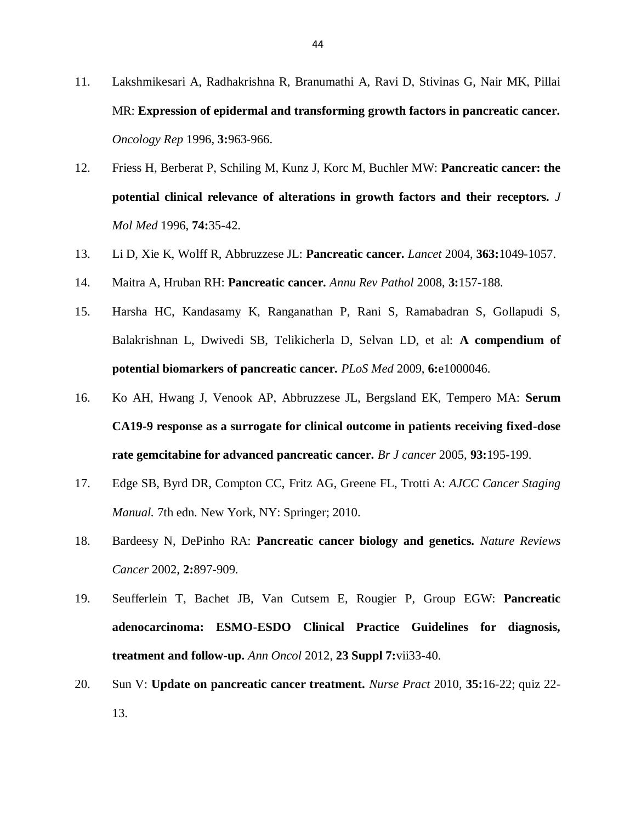- <span id="page-53-0"></span>11. Lakshmikesari A, Radhakrishna R, Branumathi A, Ravi D, Stivinas G, Nair MK, Pillai MR: **Expression of epidermal and transforming growth factors in pancreatic cancer.** *Oncology Rep* 1996, **3:**963-966.
- <span id="page-53-1"></span>12. Friess H, Berberat P, Schiling M, Kunz J, Korc M, Buchler MW: **Pancreatic cancer: the potential clinical relevance of alterations in growth factors and their receptors.** *J Mol Med* 1996, **74:**35-42.
- <span id="page-53-2"></span>13. Li D, Xie K, Wolff R, Abbruzzese JL: **Pancreatic cancer.** *Lancet* 2004, **363:**1049-1057.
- <span id="page-53-3"></span>14. Maitra A, Hruban RH: **Pancreatic cancer.** *Annu Rev Pathol* 2008, **3:**157-188.
- <span id="page-53-4"></span>15. Harsha HC, Kandasamy K, Ranganathan P, Rani S, Ramabadran S, Gollapudi S, Balakrishnan L, Dwivedi SB, Telikicherla D, Selvan LD, et al: **A compendium of potential biomarkers of pancreatic cancer.** *PLoS Med* 2009, **6:**e1000046.
- <span id="page-53-5"></span>16. Ko AH, Hwang J, Venook AP, Abbruzzese JL, Bergsland EK, Tempero MA: **Serum CA19-9 response as a surrogate for clinical outcome in patients receiving fixed-dose rate gemcitabine for advanced pancreatic cancer.** *Br J cancer* 2005, **93:**195-199.
- <span id="page-53-6"></span>17. Edge SB, Byrd DR, Compton CC, Fritz AG, Greene FL, Trotti A: *AJCC Cancer Staging Manual.* 7th edn. New York, NY: Springer; 2010.
- <span id="page-53-7"></span>18. Bardeesy N, DePinho RA: **Pancreatic cancer biology and genetics.** *Nature Reviews Cancer* 2002, **2:**897-909.
- <span id="page-53-8"></span>19. Seufferlein T, Bachet JB, Van Cutsem E, Rougier P, Group EGW: **Pancreatic adenocarcinoma: ESMO-ESDO Clinical Practice Guidelines for diagnosis, treatment and follow-up.** *Ann Oncol* 2012, **23 Suppl 7:**vii33-40.
- <span id="page-53-9"></span>20. Sun V: **Update on pancreatic cancer treatment.** *Nurse Pract* 2010, **35:**16-22; quiz 22- 13.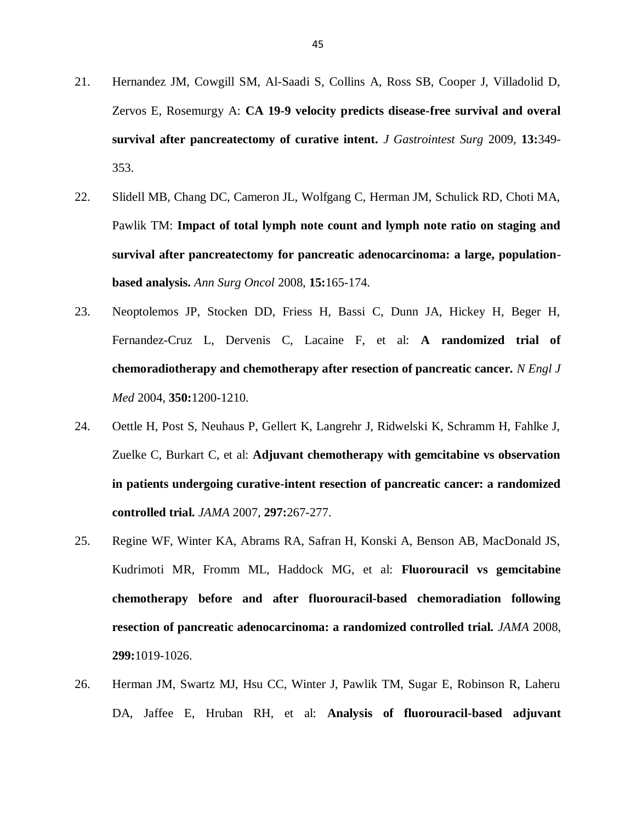- <span id="page-54-0"></span>21. Hernandez JM, Cowgill SM, Al-Saadi S, Collins A, Ross SB, Cooper J, Villadolid D, Zervos E, Rosemurgy A: **CA 19-9 velocity predicts disease-free survival and overal survival after pancreatectomy of curative intent.** *J Gastrointest Surg* 2009, **13:**349- 353.
- <span id="page-54-1"></span>22. Slidell MB, Chang DC, Cameron JL, Wolfgang C, Herman JM, Schulick RD, Choti MA, Pawlik TM: **Impact of total lymph note count and lymph note ratio on staging and survival after pancreatectomy for pancreatic adenocarcinoma: a large, populationbased analysis.** *Ann Surg Oncol* 2008, **15:**165-174.
- <span id="page-54-2"></span>23. Neoptolemos JP, Stocken DD, Friess H, Bassi C, Dunn JA, Hickey H, Beger H, Fernandez-Cruz L, Dervenis C, Lacaine F, et al: **A randomized trial of chemoradiotherapy and chemotherapy after resection of pancreatic cancer.** *N Engl J Med* 2004, **350:**1200-1210.
- 24. Oettle H, Post S, Neuhaus P, Gellert K, Langrehr J, Ridwelski K, Schramm H, Fahlke J, Zuelke C, Burkart C, et al: **Adjuvant chemotherapy with gemcitabine vs observation in patients undergoing curative-intent resection of pancreatic cancer: a randomized controlled trial.** *JAMA* 2007, **297:**267-277.
- 25. Regine WF, Winter KA, Abrams RA, Safran H, Konski A, Benson AB, MacDonald JS, Kudrimoti MR, Fromm ML, Haddock MG, et al: **Fluorouracil vs gemcitabine chemotherapy before and after fluorouracil-based chemoradiation following resection of pancreatic adenocarcinoma: a randomized controlled trial.** *JAMA* 2008, **299:**1019-1026.
- <span id="page-54-3"></span>26. Herman JM, Swartz MJ, Hsu CC, Winter J, Pawlik TM, Sugar E, Robinson R, Laheru DA, Jaffee E, Hruban RH, et al: **Analysis of fluorouracil-based adjuvant**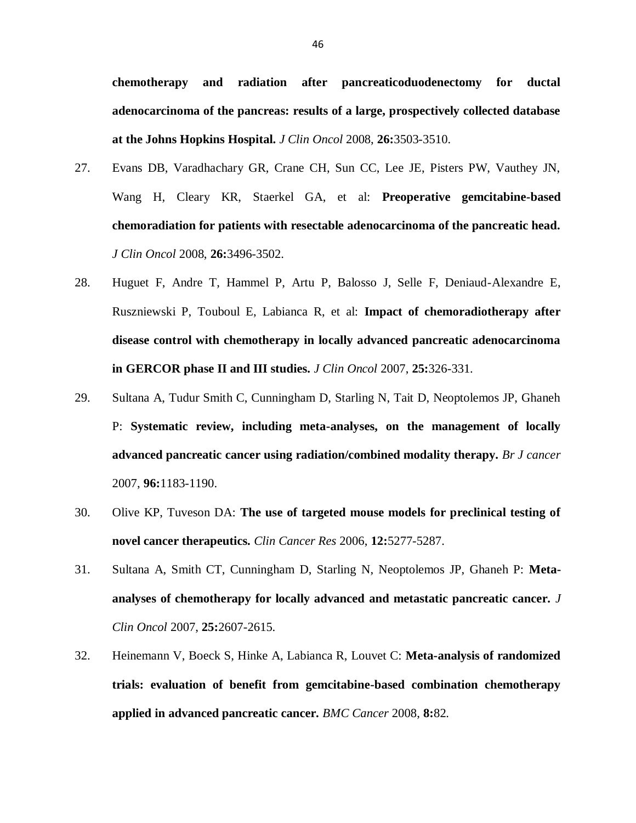**chemotherapy and radiation after pancreaticoduodenectomy for ductal adenocarcinoma of the pancreas: results of a large, prospectively collected database at the Johns Hopkins Hospital.** *J Clin Oncol* 2008, **26:**3503-3510.

- <span id="page-55-0"></span>27. Evans DB, Varadhachary GR, Crane CH, Sun CC, Lee JE, Pisters PW, Vauthey JN, Wang H, Cleary KR, Staerkel GA, et al: **Preoperative gemcitabine-based chemoradiation for patients with resectable adenocarcinoma of the pancreatic head.** *J Clin Oncol* 2008, **26:**3496-3502.
- <span id="page-55-1"></span>28. Huguet F, Andre T, Hammel P, Artu P, Balosso J, Selle F, Deniaud-Alexandre E, Ruszniewski P, Touboul E, Labianca R, et al: **Impact of chemoradiotherapy after disease control with chemotherapy in locally advanced pancreatic adenocarcinoma in GERCOR phase II and III studies.** *J Clin Oncol* 2007, **25:**326-331.
- <span id="page-55-2"></span>29. Sultana A, Tudur Smith C, Cunningham D, Starling N, Tait D, Neoptolemos JP, Ghaneh P: **Systematic review, including meta-analyses, on the management of locally advanced pancreatic cancer using radiation/combined modality therapy.** *Br J cancer*  2007, **96:**1183-1190.
- <span id="page-55-3"></span>30. Olive KP, Tuveson DA: **The use of targeted mouse models for preclinical testing of novel cancer therapeutics.** *Clin Cancer Res* 2006, **12:**5277-5287.
- <span id="page-55-4"></span>31. Sultana A, Smith CT, Cunningham D, Starling N, Neoptolemos JP, Ghaneh P: **Metaanalyses of chemotherapy for locally advanced and metastatic pancreatic cancer.** *J Clin Oncol* 2007, **25:**2607-2615.
- <span id="page-55-5"></span>32. Heinemann V, Boeck S, Hinke A, Labianca R, Louvet C: **Meta-analysis of randomized trials: evaluation of benefit from gemcitabine-based combination chemotherapy applied in advanced pancreatic cancer.** *BMC Cancer* 2008, **8:**82.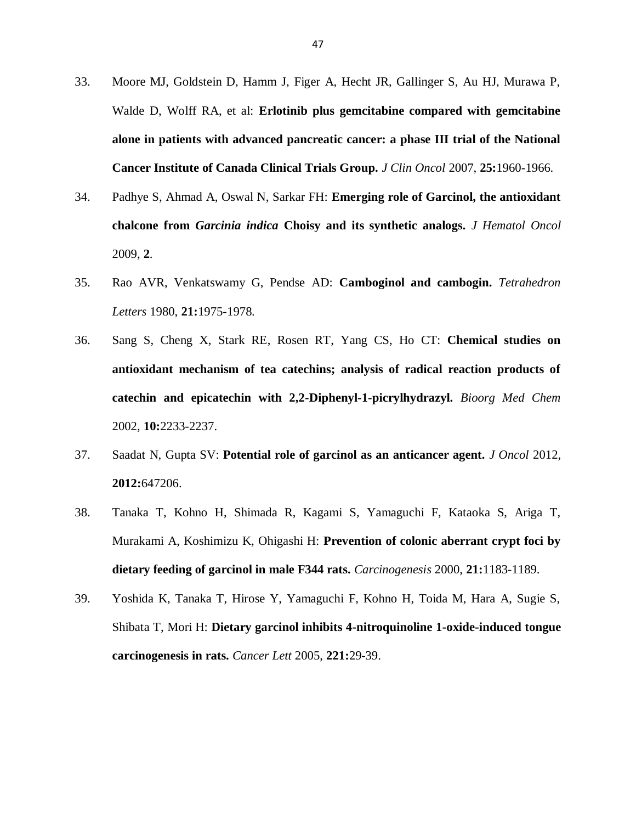- <span id="page-56-0"></span>33. Moore MJ, Goldstein D, Hamm J, Figer A, Hecht JR, Gallinger S, Au HJ, Murawa P, Walde D, Wolff RA, et al: **Erlotinib plus gemcitabine compared with gemcitabine alone in patients with advanced pancreatic cancer: a phase III trial of the National Cancer Institute of Canada Clinical Trials Group.** *J Clin Oncol* 2007, **25:**1960-1966.
- <span id="page-56-1"></span>34. Padhye S, Ahmad A, Oswal N, Sarkar FH: **Emerging role of Garcinol, the antioxidant chalcone from** *Garcinia indica* **Choisy and its synthetic analogs.** *J Hematol Oncol*  2009, **2**.
- <span id="page-56-2"></span>35. Rao AVR, Venkatswamy G, Pendse AD: **Camboginol and cambogin.** *Tetrahedron Letters* 1980, **21:**1975-1978.
- <span id="page-56-3"></span>36. Sang S, Cheng X, Stark RE, Rosen RT, Yang CS, Ho CT: **Chemical studies on antioxidant mechanism of tea catechins; analysis of radical reaction products of catechin and epicatechin with 2,2-Diphenyl-1-picrylhydrazyl.** *Bioorg Med Chem*  2002, **10:**2233-2237.
- <span id="page-56-4"></span>37. Saadat N, Gupta SV: **Potential role of garcinol as an anticancer agent.** *J Oncol* 2012, **2012:**647206.
- <span id="page-56-5"></span>38. Tanaka T, Kohno H, Shimada R, Kagami S, Yamaguchi F, Kataoka S, Ariga T, Murakami A, Koshimizu K, Ohigashi H: **Prevention of colonic aberrant crypt foci by dietary feeding of garcinol in male F344 rats.** *Carcinogenesis* 2000, **21:**1183-1189.
- <span id="page-56-6"></span>39. Yoshida K, Tanaka T, Hirose Y, Yamaguchi F, Kohno H, Toida M, Hara A, Sugie S, Shibata T, Mori H: **Dietary garcinol inhibits 4-nitroquinoline 1-oxide-induced tongue carcinogenesis in rats.** *Cancer Lett* 2005, **221:**29-39.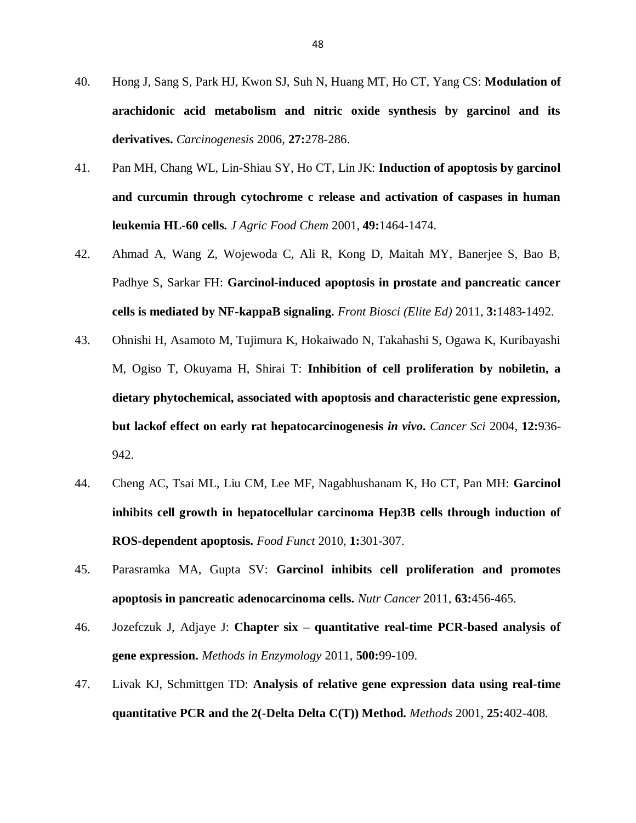- <span id="page-57-0"></span>40. Hong J, Sang S, Park HJ, Kwon SJ, Suh N, Huang MT, Ho CT, Yang CS: **Modulation of arachidonic acid metabolism and nitric oxide synthesis by garcinol and its derivatives.** *Carcinogenesis* 2006, **27:**278-286.
- <span id="page-57-1"></span>41. Pan MH, Chang WL, Lin-Shiau SY, Ho CT, Lin JK: **Induction of apoptosis by garcinol and curcumin through cytochrome c release and activation of caspases in human leukemia HL-60 cells.** *J Agric Food Chem* 2001, **49:**1464-1474.
- <span id="page-57-2"></span>42. Ahmad A, Wang Z, Wojewoda C, Ali R, Kong D, Maitah MY, Banerjee S, Bao B, Padhye S, Sarkar FH: **Garcinol-induced apoptosis in prostate and pancreatic cancer cells is mediated by NF-kappaB signaling.** *Front Biosci (Elite Ed)* 2011, **3:**1483-1492.
- <span id="page-57-3"></span>43. Ohnishi H, Asamoto M, Tujimura K, Hokaiwado N, Takahashi S, Ogawa K, Kuribayashi M, Ogiso T, Okuyama H, Shirai T: **Inhibition of cell proliferation by nobiletin, a dietary phytochemical, associated with apoptosis and characteristic gene expression, but lackof effect on early rat hepatocarcinogenesis** *in vivo***.** *Cancer Sci* 2004, **12:**936- 942.
- 44. Cheng AC, Tsai ML, Liu CM, Lee MF, Nagabhushanam K, Ho CT, Pan MH: **Garcinol inhibits cell growth in hepatocellular carcinoma Hep3B cells through induction of ROS-dependent apoptosis.** *Food Funct* 2010, **1:**301-307.
- <span id="page-57-4"></span>45. Parasramka MA, Gupta SV: **Garcinol inhibits cell proliferation and promotes apoptosis in pancreatic adenocarcinoma cells.** *Nutr Cancer* 2011, **63:**456-465.
- <span id="page-57-5"></span>46. Jozefczuk J, Adjaye J: **Chapter six – quantitative real-time PCR-based analysis of gene expression.** *Methods in Enzymology* 2011, **500:**99-109.
- <span id="page-57-6"></span>47. Livak KJ, Schmittgen TD: **Analysis of relative gene expression data using real-time quantitative PCR and the 2(-Delta Delta C(T)) Method.** *Methods* 2001, **25:**402-408.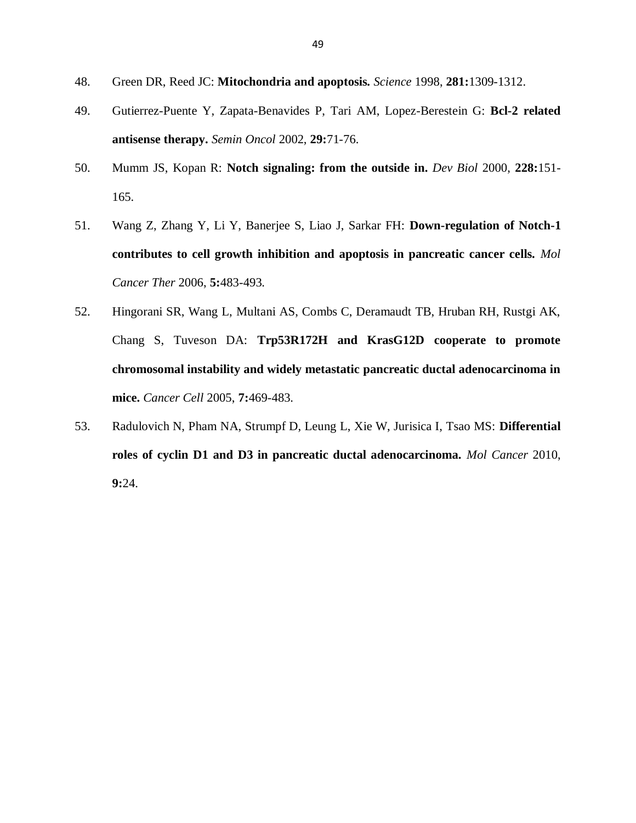- <span id="page-58-0"></span>48. Green DR, Reed JC: **Mitochondria and apoptosis.** *Science* 1998, **281:**1309-1312.
- <span id="page-58-1"></span>49. Gutierrez-Puente Y, Zapata-Benavides P, Tari AM, Lopez-Berestein G: **Bcl-2 related antisense therapy.** *Semin Oncol* 2002, **29:**71-76.
- <span id="page-58-2"></span>50. Mumm JS, Kopan R: **Notch signaling: from the outside in.** *Dev Biol* 2000, **228:**151- 165.
- <span id="page-58-3"></span>51. Wang Z, Zhang Y, Li Y, Banerjee S, Liao J, Sarkar FH: **Down-regulation of Notch-1 contributes to cell growth inhibition and apoptosis in pancreatic cancer cells.** *Mol Cancer Ther* 2006, **5:**483-493.
- <span id="page-58-4"></span>52. Hingorani SR, Wang L, Multani AS, Combs C, Deramaudt TB, Hruban RH, Rustgi AK, Chang S, Tuveson DA: **Trp53R172H and KrasG12D cooperate to promote chromosomal instability and widely metastatic pancreatic ductal adenocarcinoma in mice.** *Cancer Cell* 2005, **7:**469-483.
- <span id="page-58-5"></span>53. Radulovich N, Pham NA, Strumpf D, Leung L, Xie W, Jurisica I, Tsao MS: **Differential roles of cyclin D1 and D3 in pancreatic ductal adenocarcinoma.** *Mol Cancer* 2010, **9:**24.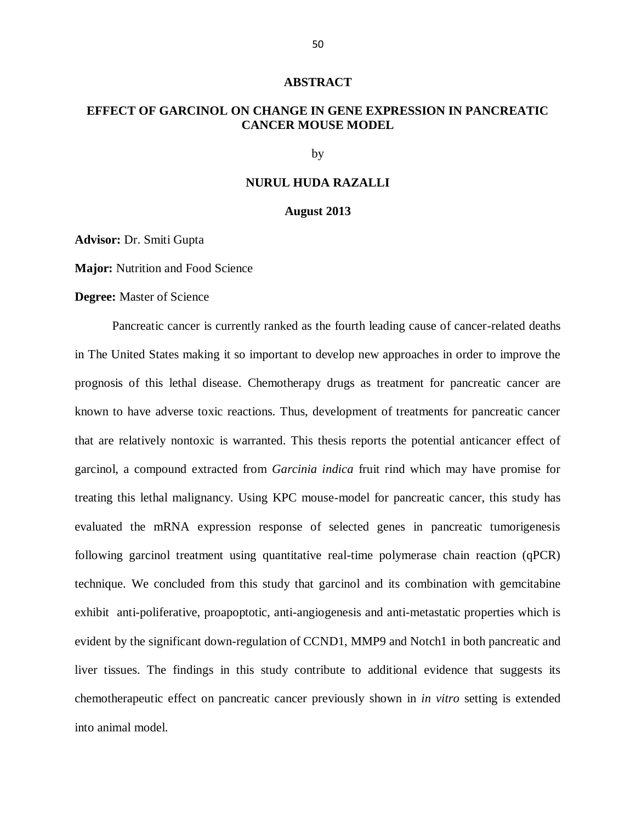#### **ABSTRACT**

# **EFFECT OF GARCINOL ON CHANGE IN GENE EXPRESSION IN PANCREATIC CANCER MOUSE MODEL**

by

#### **NURUL HUDA RAZALLI**

#### **August 2013**

**Advisor:** Dr. Smiti Gupta

**Major:** Nutrition and Food Science

#### **Degree:** Master of Science

Pancreatic cancer is currently ranked as the fourth leading cause of cancer-related deaths in The United States making it so important to develop new approaches in order to improve the prognosis of this lethal disease. Chemotherapy drugs as treatment for pancreatic cancer are known to have adverse toxic reactions. Thus, development of treatments for pancreatic cancer that are relatively nontoxic is warranted. This thesis reports the potential anticancer effect of garcinol, a compound extracted from *Garcinia indica* fruit rind which may have promise for treating this lethal malignancy. Using KPC mouse-model for pancreatic cancer, this study has evaluated the mRNA expression response of selected genes in pancreatic tumorigenesis following garcinol treatment using quantitative real-time polymerase chain reaction (qPCR) technique. We concluded from this study that garcinol and its combination with gemcitabine exhibit anti-poliferative, proapoptotic, anti-angiogenesis and anti-metastatic properties which is evident by the significant down-regulation of CCND1, MMP9 and Notch1 in both pancreatic and liver tissues. The findings in this study contribute to additional evidence that suggests its chemotherapeutic effect on pancreatic cancer previously shown in *in vitro* setting is extended into animal model.